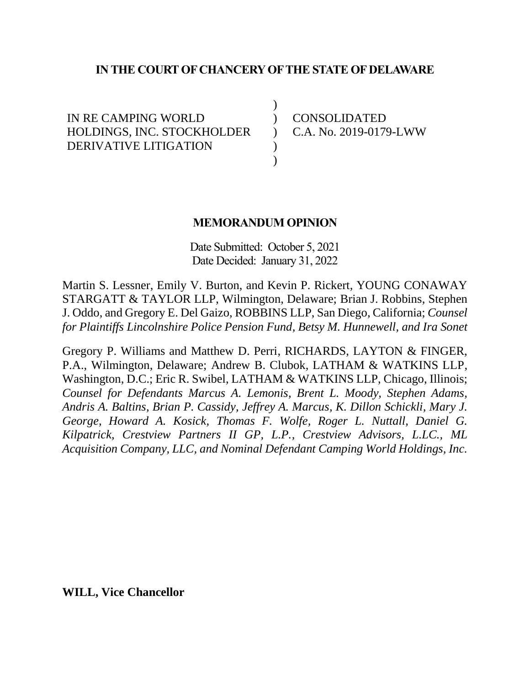### **IN THE COURT OF CHANCERY OF THE STATE OF DELAWARE**

) )  $\mathcal{L}$ ) )

IN RE CAMPING WORLD HOLDINGS, INC. STOCKHOLDER DERIVATIVE LITIGATION

CONSOLIDATED C.A. No. 2019-0179-LWW

#### **MEMORANDUM OPINION**

Date Submitted: October 5, 2021 Date Decided: January 31, 2022

Martin S. Lessner, Emily V. Burton, and Kevin P. Rickert, YOUNG CONAWAY STARGATT & TAYLOR LLP, Wilmington, Delaware; Brian J. Robbins, Stephen J. Oddo, and Gregory E. Del Gaizo, ROBBINS LLP, San Diego, California; *Counsel for Plaintiffs Lincolnshire Police Pension Fund, Betsy M. Hunnewell, and Ira Sonet*

Gregory P. Williams and Matthew D. Perri, RICHARDS, LAYTON & FINGER, P.A., Wilmington, Delaware; Andrew B. Clubok, LATHAM & WATKINS LLP, Washington, D.C.; Eric R. Swibel, LATHAM & WATKINS LLP, Chicago, Illinois; *Counsel for Defendants Marcus A. Lemonis, Brent L. Moody, Stephen Adams, Andris A. Baltins, Brian P. Cassidy, Jeffrey A. Marcus, K. Dillon Schickli, Mary J. George, Howard A. Kosick, Thomas F. Wolfe, Roger L. Nuttall, Daniel G. Kilpatrick, Crestview Partners II GP, L.P., Crestview Advisors, L.LC., ML Acquisition Company, LLC, and Nominal Defendant Camping World Holdings, Inc.*

**WILL, Vice Chancellor**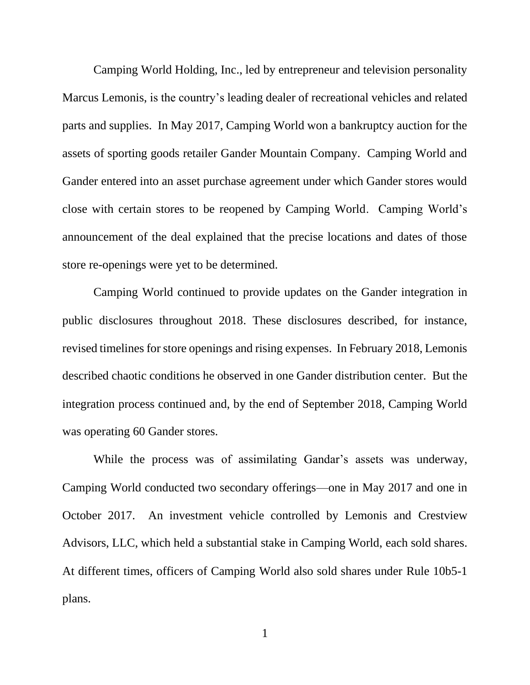Camping World Holding, Inc., led by entrepreneur and television personality Marcus Lemonis, is the country's leading dealer of recreational vehicles and related parts and supplies. In May 2017, Camping World won a bankruptcy auction for the assets of sporting goods retailer Gander Mountain Company. Camping World and Gander entered into an asset purchase agreement under which Gander stores would close with certain stores to be reopened by Camping World. Camping World's announcement of the deal explained that the precise locations and dates of those store re-openings were yet to be determined.

Camping World continued to provide updates on the Gander integration in public disclosures throughout 2018. These disclosures described, for instance, revised timelines for store openings and rising expenses. In February 2018, Lemonis described chaotic conditions he observed in one Gander distribution center. But the integration process continued and, by the end of September 2018, Camping World was operating 60 Gander stores.

While the process was of assimilating Gandar's assets was underway, Camping World conducted two secondary offerings—one in May 2017 and one in October 2017. An investment vehicle controlled by Lemonis and Crestview Advisors, LLC, which held a substantial stake in Camping World, each sold shares. At different times, officers of Camping World also sold shares under Rule 10b5-1 plans.

1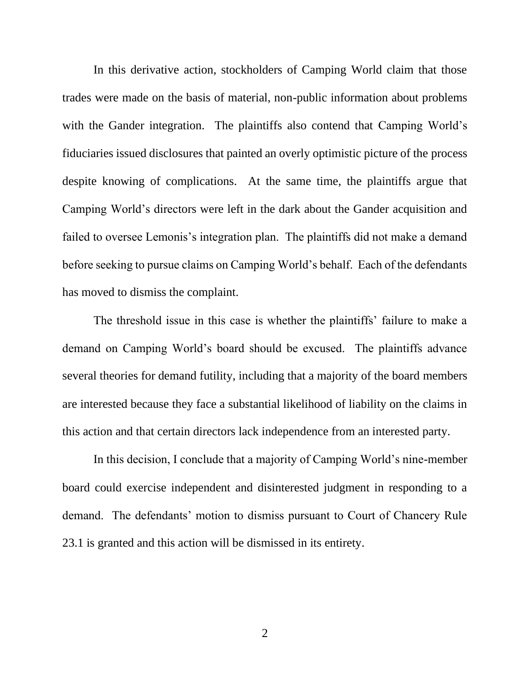In this derivative action, stockholders of Camping World claim that those trades were made on the basis of material, non-public information about problems with the Gander integration. The plaintiffs also contend that Camping World's fiduciaries issued disclosures that painted an overly optimistic picture of the process despite knowing of complications. At the same time, the plaintiffs argue that Camping World's directors were left in the dark about the Gander acquisition and failed to oversee Lemonis's integration plan. The plaintiffs did not make a demand before seeking to pursue claims on Camping World's behalf. Each of the defendants has moved to dismiss the complaint.

The threshold issue in this case is whether the plaintiffs' failure to make a demand on Camping World's board should be excused. The plaintiffs advance several theories for demand futility, including that a majority of the board members are interested because they face a substantial likelihood of liability on the claims in this action and that certain directors lack independence from an interested party.

In this decision, I conclude that a majority of Camping World's nine-member board could exercise independent and disinterested judgment in responding to a demand. The defendants' motion to dismiss pursuant to Court of Chancery Rule 23.1 is granted and this action will be dismissed in its entirety.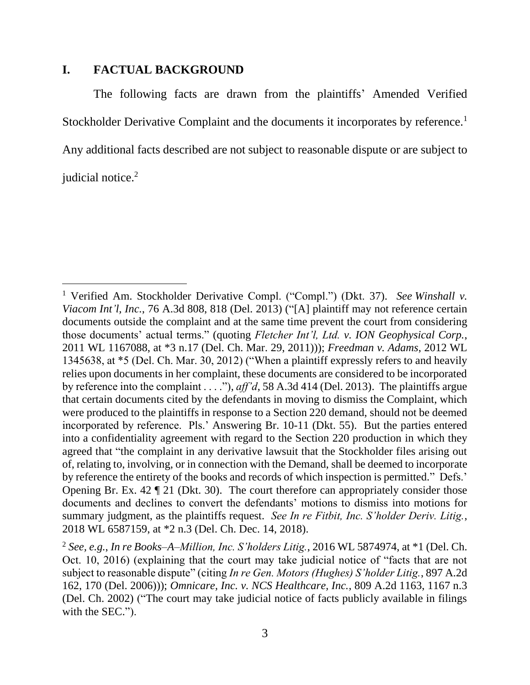## **I. FACTUAL BACKGROUND**

The following facts are drawn from the plaintiffs' Amended Verified Stockholder Derivative Complaint and the documents it incorporates by reference.<sup>1</sup> Any additional facts described are not subject to reasonable dispute or are subject to judicial notice.<sup>2</sup>

<sup>1</sup> Verified Am. Stockholder Derivative Compl. ("Compl.") (Dkt. 37). *See Winshall v. Viacom Int'l, Inc.*, 76 A.3d 808, 818 (Del. 2013) ("[A] plaintiff may not reference certain documents outside the complaint and at the same time prevent the court from considering those documents' actual terms." (quoting *Fletcher Int'l, Ltd. v. ION Geophysical Corp.*, 2011 WL 1167088, at \*3 n.17 (Del. Ch. Mar. 29, 2011))); *Freedman v. Adams*, 2012 WL 1345638, at \*5 (Del. Ch. Mar. 30, 2012) ("When a plaintiff expressly refers to and heavily relies upon documents in her complaint, these documents are considered to be incorporated by reference into the complaint . . . ."), *aff'd*, 58 A.3d 414 (Del. 2013). The plaintiffs argue that certain documents cited by the defendants in moving to dismiss the Complaint, which were produced to the plaintiffs in response to a Section 220 demand, should not be deemed incorporated by reference. Pls.' Answering Br. 10-11 (Dkt. 55). But the parties entered into a confidentiality agreement with regard to the Section 220 production in which they agreed that "the complaint in any derivative lawsuit that the Stockholder files arising out of, relating to, involving, or in connection with the Demand, shall be deemed to incorporate by reference the entirety of the books and records of which inspection is permitted." Defs.' Opening Br. Ex. 42 ¶ 21 (Dkt. 30). The court therefore can appropriately consider those documents and declines to convert the defendants' motions to dismiss into motions for summary judgment, as the plaintiffs request. *See In re Fitbit, Inc. S'holder Deriv. Litig.*, 2018 WL 6587159, at \*2 n.3 (Del. Ch. Dec. 14, 2018).

<sup>2</sup> *See, e.g.*, *In re Books–A–Million, Inc. S'holders Litig.*, 2016 WL 5874974, at \*1 (Del. Ch. Oct. 10, 2016) (explaining that the court may take judicial notice of "facts that are not subject to reasonable dispute" (citing *In re Gen. Motors (Hughes) S'holder Litig.*, 897 A.2d 162, 170 (Del. 2006))); *Omnicare, Inc. v. NCS Healthcare, Inc.*, 809 A.2d 1163, 1167 n.3 (Del. Ch. 2002) ("The court may take judicial notice of facts publicly available in filings with the SEC.").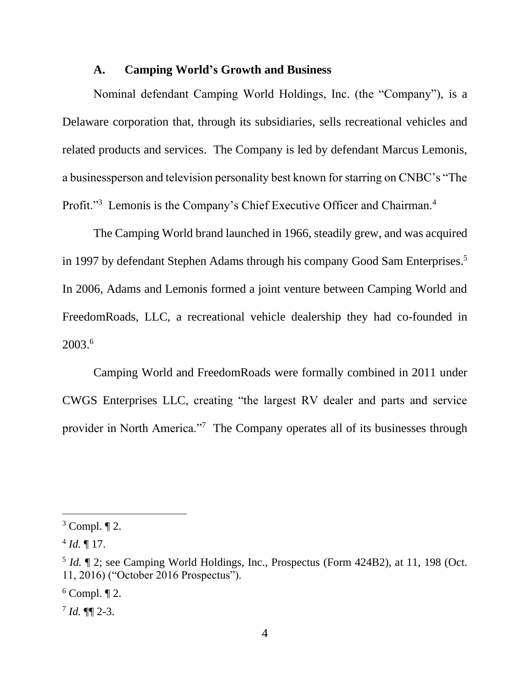#### **A. Camping World's Growth and Business**

Nominal defendant Camping World Holdings, Inc. (the "Company"), is a Delaware corporation that, through its subsidiaries, sells recreational vehicles and related products and services. The Company is led by defendant Marcus Lemonis, a businessperson and television personality best known for starring on CNBC's "The Profit."<sup>3</sup> Lemonis is the Company's Chief Executive Officer and Chairman.<sup>4</sup>

The Camping World brand launched in 1966, steadily grew, and was acquired in 1997 by defendant Stephen Adams through his company Good Sam Enterprises. 5 In 2006, Adams and Lemonis formed a joint venture between Camping World and FreedomRoads, LLC, a recreational vehicle dealership they had co-founded in 2003. 6

Camping World and FreedomRoads were formally combined in 2011 under CWGS Enterprises LLC, creating "the largest RV dealer and parts and service provider in North America."<sup>7</sup> The Company operates all of its businesses through

 $3$  Compl.  $\P$  2.

 $^{4}$  *Id.*  $\llbracket$  17.

<sup>&</sup>lt;sup>5</sup> *Id.* 1 2; see Camping World Holdings, Inc., Prospectus (Form 424B2), at 11, 198 (Oct. 11, 2016) ("October 2016 Prospectus").

 $6$  Compl.  $\P$  2.

 $^7$  *Id.*  $\P\P$  2-3.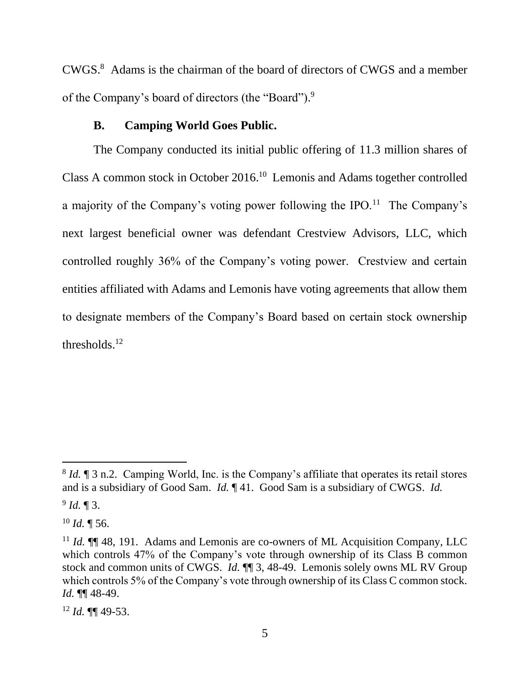CWGS. <sup>8</sup> Adams is the chairman of the board of directors of CWGS and a member of the Company's board of directors (the "Board").<sup>9</sup>

### **B. Camping World Goes Public.**

The Company conducted its initial public offering of 11.3 million shares of Class A common stock in October 2016. 10 Lemonis and Adams together controlled a majority of the Company's voting power following the IPO.<sup>11</sup> The Company's next largest beneficial owner was defendant Crestview Advisors, LLC, which controlled roughly 36% of the Company's voting power. Crestview and certain entities affiliated with Adams and Lemonis have voting agreements that allow them to designate members of the Company's Board based on certain stock ownership thresholds. $12$ 

<sup>&</sup>lt;sup>8</sup> *Id.* ¶ 3 n.2. Camping World, Inc. is the Company's affiliate that operates its retail stores and is a subsidiary of Good Sam. *Id.* ¶ 41. Good Sam is a subsidiary of CWGS. *Id.*

<sup>9</sup> *Id.* ¶ 3.

 $10$  *Id.*  $\sqrt{ }$  56.

<sup>&</sup>lt;sup>11</sup> *Id.* **[1]** 48, 191. Adams and Lemonis are co-owners of ML Acquisition Company, LLC which controls 47% of the Company's vote through ownership of its Class B common stock and common units of CWGS. *Id.* ¶¶ 3, 48-49. Lemonis solely owns ML RV Group which controls 5% of the Company's vote through ownership of its Class C common stock. *Id.* ¶¶ 48-49.

<sup>12</sup> *Id.* ¶¶ 49-53.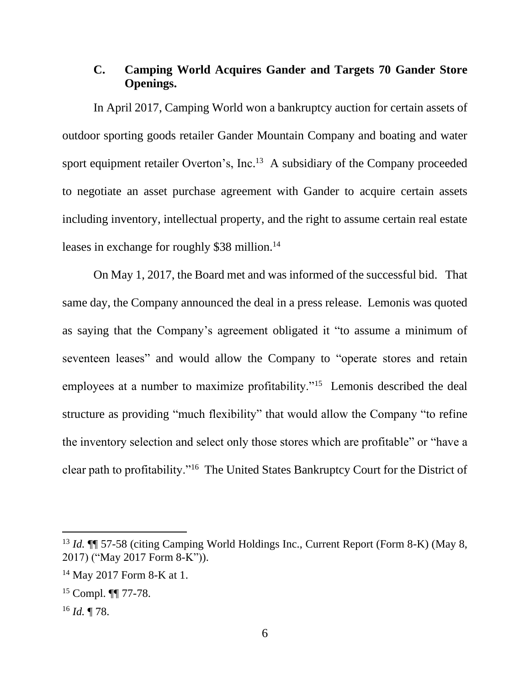# **C. Camping World Acquires Gander and Targets 70 Gander Store Openings.**

In April 2017, Camping World won a bankruptcy auction for certain assets of outdoor sporting goods retailer Gander Mountain Company and boating and water sport equipment retailer Overton's, Inc.<sup>13</sup> A subsidiary of the Company proceeded to negotiate an asset purchase agreement with Gander to acquire certain assets including inventory, intellectual property, and the right to assume certain real estate leases in exchange for roughly \$38 million. 14

On May 1, 2017, the Board met and was informed of the successful bid. That same day, the Company announced the deal in a press release. Lemonis was quoted as saying that the Company's agreement obligated it "to assume a minimum of seventeen leases" and would allow the Company to "operate stores and retain employees at a number to maximize profitability."<sup>15</sup> Lemonis described the deal structure as providing "much flexibility" that would allow the Company "to refine the inventory selection and select only those stores which are profitable" or "have a clear path to profitability."<sup>16</sup> The United States Bankruptcy Court for the District of

<sup>13</sup> *Id.* ¶¶ 57-58 (citing Camping World Holdings Inc., Current Report (Form 8-K) (May 8, 2017) ("May 2017 Form 8-K")).

<sup>14</sup> May 2017 Form 8-K at 1.

<sup>15</sup> Compl. ¶¶ 77-78.

<sup>16</sup> *Id.* ¶ 78.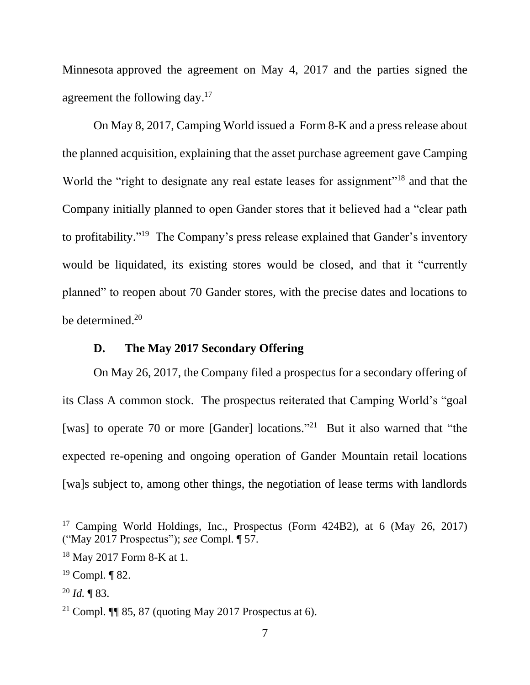Minnesota approved the agreement on May 4, 2017 and the parties signed the agreement the following day.<sup>17</sup>

On May 8, 2017, Camping World issued a Form 8-K and a press release about the planned acquisition, explaining that the asset purchase agreement gave Camping World the "right to designate any real estate leases for assignment"<sup>18</sup> and that the Company initially planned to open Gander stores that it believed had a "clear path to profitability."<sup>19</sup> The Company's press release explained that Gander's inventory would be liquidated, its existing stores would be closed, and that it "currently planned" to reopen about 70 Gander stores, with the precise dates and locations to be determined.<sup>20</sup>

# **D. The May 2017 Secondary Offering**

On May 26, 2017, the Company filed a prospectus for a secondary offering of its Class A common stock. The prospectus reiterated that Camping World's "goal [was] to operate 70 or more [Gander] locations."<sup>21</sup> But it also warned that "the expected re-opening and ongoing operation of Gander Mountain retail locations [wa]s subject to, among other things, the negotiation of lease terms with landlords

<sup>&</sup>lt;sup>17</sup> Camping World Holdings, Inc., Prospectus (Form 424B2), at 6 (May 26, 2017) ("May 2017 Prospectus"); *see* Compl. ¶ 57.

<sup>18</sup> May 2017 Form 8-K at 1.

 $19$  Compl.  $\P$  82.

<sup>20</sup> *Id.* ¶ 83.

<sup>&</sup>lt;sup>21</sup> Compl.  $\P$  85, 87 (quoting May 2017 Prospectus at 6).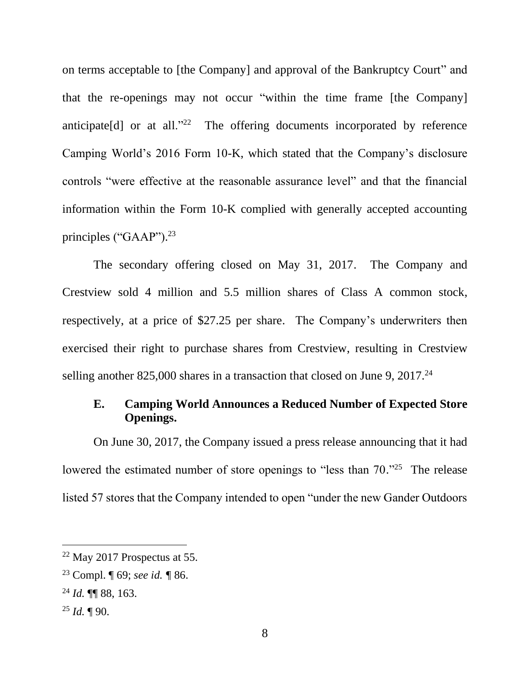on terms acceptable to [the Company] and approval of the Bankruptcy Court" and that the re-openings may not occur "within the time frame [the Company] anticipate<sup>[d]</sup> or at all.<sup>"22</sup> The offering documents incorporated by reference Camping World's 2016 Form 10-K, which stated that the Company's disclosure controls "were effective at the reasonable assurance level" and that the financial information within the Form 10-K complied with generally accepted accounting principles ("GAAP").<sup>23</sup>

The secondary offering closed on May 31, 2017. The Company and Crestview sold 4 million and 5.5 million shares of Class A common stock, respectively, at a price of \$27.25 per share. The Company's underwriters then exercised their right to purchase shares from Crestview, resulting in Crestview selling another 825,000 shares in a transaction that closed on June 9, 2017.<sup>24</sup>

# **E. Camping World Announces a Reduced Number of Expected Store Openings.**

On June 30, 2017, the Company issued a press release announcing that it had lowered the estimated number of store openings to "less than 70."<sup>25</sup> The release listed 57 stores that the Company intended to open "under the new Gander Outdoors

 $22$  May 2017 Prospectus at 55.

<sup>23</sup> Compl. ¶ 69; *see id. ¶* 86.

<sup>24</sup> *Id.* ¶¶ 88, 163.

 $^{25}$  *Id.*  $\P$  90.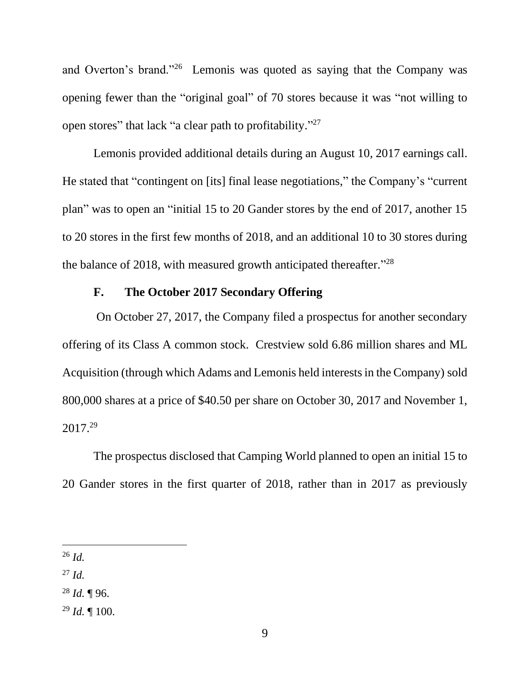and Overton's brand."<sup>26</sup> Lemonis was quoted as saying that the Company was opening fewer than the "original goal" of 70 stores because it was "not willing to open stores" that lack "a clear path to profitability."<sup>27</sup>

Lemonis provided additional details during an August 10, 2017 earnings call. He stated that "contingent on [its] final lease negotiations," the Company's "current plan" was to open an "initial 15 to 20 Gander stores by the end of 2017, another 15 to 20 stores in the first few months of 2018, and an additional 10 to 30 stores during the balance of 2018, with measured growth anticipated thereafter."<sup>28</sup>

# **F. The October 2017 Secondary Offering**

On October 27, 2017, the Company filed a prospectus for another secondary offering of its Class A common stock. Crestview sold 6.86 million shares and ML Acquisition (through which Adams and Lemonis held interests in the Company) sold 800,000 shares at a price of \$40.50 per share on October 30, 2017 and November 1, 2017. 29

The prospectus disclosed that Camping World planned to open an initial 15 to 20 Gander stores in the first quarter of 2018, rather than in 2017 as previously

<sup>26</sup> *Id.*

<sup>27</sup> *Id.*

<sup>28</sup> *Id.* ¶ 96.

<sup>29</sup> *Id.* ¶ 100.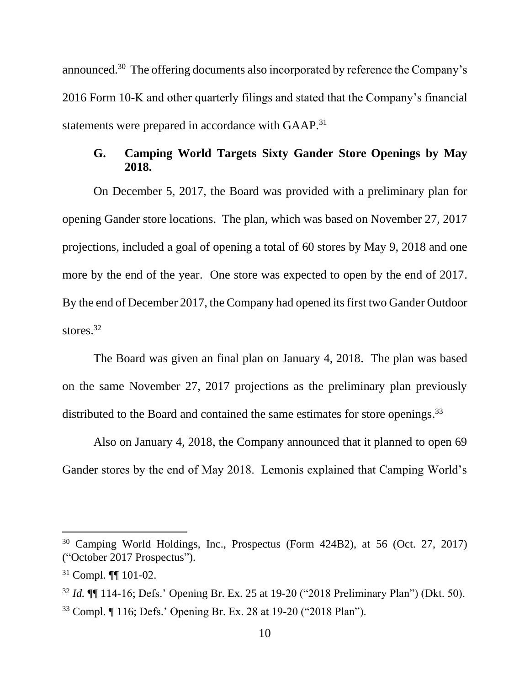announced.<sup>30</sup> The offering documents also incorporated by reference the Company's 2016 Form 10-K and other quarterly filings and stated that the Company's financial statements were prepared in accordance with GAAP.<sup>31</sup>

# **G. Camping World Targets Sixty Gander Store Openings by May 2018.**

On December 5, 2017, the Board was provided with a preliminary plan for opening Gander store locations. The plan, which was based on November 27, 2017 projections, included a goal of opening a total of 60 stores by May 9, 2018 and one more by the end of the year. One store was expected to open by the end of 2017. By the end of December 2017, the Company had opened its first two Gander Outdoor stores. 32

The Board was given an final plan on January 4, 2018. The plan was based on the same November 27, 2017 projections as the preliminary plan previously distributed to the Board and contained the same estimates for store openings.<sup>33</sup>

Also on January 4, 2018, the Company announced that it planned to open 69 Gander stores by the end of May 2018. Lemonis explained that Camping World's

<sup>30</sup> Camping World Holdings, Inc., Prospectus (Form 424B2), at 56 (Oct. 27, 2017) ("October 2017 Prospectus").

<sup>31</sup> Compl. ¶¶ 101-02.

<sup>32</sup> *Id.* ¶¶ 114-16; Defs.' Opening Br. Ex. 25 at 19-20 ("2018 Preliminary Plan") (Dkt. 50). <sup>33</sup> Compl. ¶ 116; Defs.' Opening Br. Ex. 28 at 19-20 ("2018 Plan").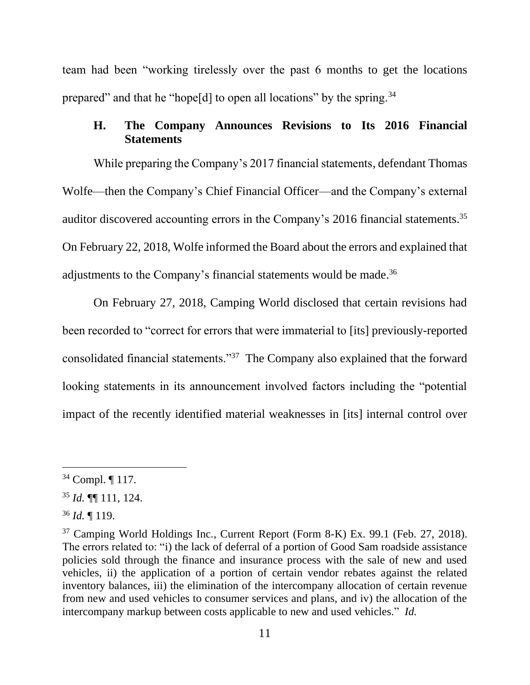team had been "working tirelessly over the past 6 months to get the locations prepared" and that he "hope[d] to open all locations" by the spring.<sup>34</sup>

# **H. The Company Announces Revisions to Its 2016 Financial Statements**

While preparing the Company's 2017 financial statements, defendant Thomas Wolfe—then the Company's Chief Financial Officer—and the Company's external auditor discovered accounting errors in the Company's 2016 financial statements.<sup>35</sup> On February 22, 2018, Wolfe informed the Board about the errors and explained that adjustments to the Company's financial statements would be made.<sup>36</sup>

On February 27, 2018, Camping World disclosed that certain revisions had been recorded to "correct for errors that were immaterial to [its] previously-reported consolidated financial statements."<sup>37</sup> The Company also explained that the forward looking statements in its announcement involved factors including the "potential impact of the recently identified material weaknesses in [its] internal control over

<sup>34</sup> Compl. ¶ 117.

<sup>35</sup> *Id.* ¶¶ 111, 124.

<sup>36</sup> *Id.* ¶ 119.

<sup>37</sup> Camping World Holdings Inc., Current Report (Form 8-K) Ex. 99.1 (Feb. 27, 2018). The errors related to: "i) the lack of deferral of a portion of Good Sam roadside assistance policies sold through the finance and insurance process with the sale of new and used vehicles, ii) the application of a portion of certain vendor rebates against the related inventory balances, iii) the elimination of the intercompany allocation of certain revenue from new and used vehicles to consumer services and plans, and iv) the allocation of the intercompany markup between costs applicable to new and used vehicles." *Id.*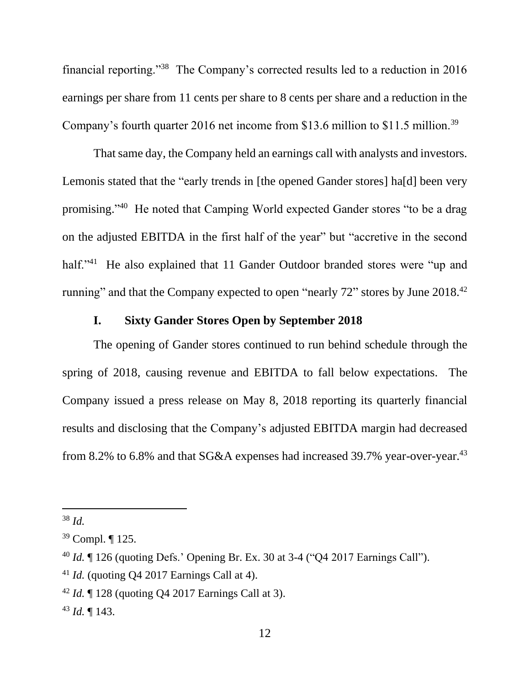financial reporting."<sup>38</sup> The Company's corrected results led to a reduction in 2016 earnings per share from 11 cents per share to 8 cents per share and a reduction in the Company's fourth quarter 2016 net income from \$13.6 million to \$11.5 million.<sup>39</sup>

That same day, the Company held an earnings call with analysts and investors. Lemonis stated that the "early trends in [the opened Gander stores] ha[d] been very promising." <sup>40</sup> He noted that Camping World expected Gander stores "to be a drag on the adjusted EBITDA in the first half of the year" but "accretive in the second half."<sup>41</sup> He also explained that 11 Gander Outdoor branded stores were "up and running" and that the Company expected to open "nearly  $72$ " stores by June  $2018<sup>42</sup>$ 

# **I. Sixty Gander Stores Open by September 2018**

The opening of Gander stores continued to run behind schedule through the spring of 2018, causing revenue and EBITDA to fall below expectations. The Company issued a press release on May 8, 2018 reporting its quarterly financial results and disclosing that the Company's adjusted EBITDA margin had decreased from 8.2% to 6.8% and that SG&A expenses had increased 39.7% year-over-year.<sup>43</sup>

<sup>38</sup> *Id.*

<sup>39</sup> Compl. ¶ 125.

<sup>40</sup> *Id.* ¶ 126 (quoting Defs.' Opening Br. Ex. 30 at 3-4 ("Q4 2017 Earnings Call").

<sup>41</sup> *Id.* (quoting Q4 2017 Earnings Call at 4).

<sup>42</sup> *Id.* ¶ 128 (quoting Q4 2017 Earnings Call at 3).

<sup>43</sup> *Id.* ¶ 143.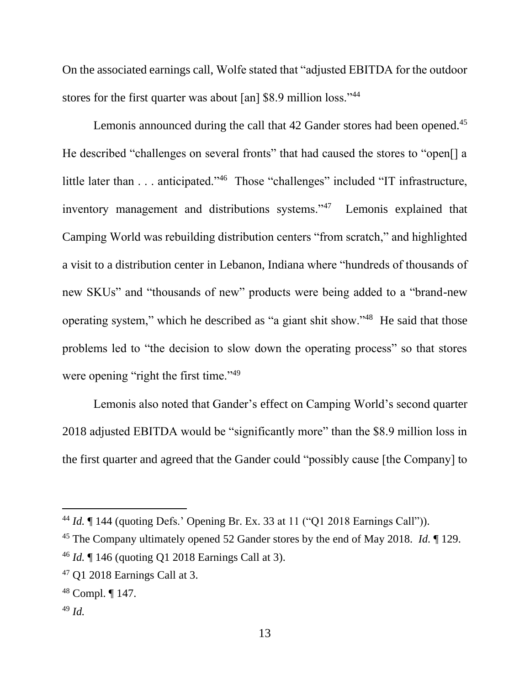On the associated earnings call, Wolfe stated that "adjusted EBITDA for the outdoor stores for the first quarter was about [an] \$8.9 million loss."<sup>44</sup>

Lemonis announced during the call that 42 Gander stores had been opened.<sup>45</sup> He described "challenges on several fronts" that had caused the stores to "open[] a little later than . . . anticipated."<sup>46</sup> Those "challenges" included "IT infrastructure, inventory management and distributions systems."<sup>47</sup> Lemonis explained that Camping World was rebuilding distribution centers "from scratch," and highlighted a visit to a distribution center in Lebanon, Indiana where "hundreds of thousands of new SKUs" and "thousands of new" products were being added to a "brand-new operating system," which he described as "a giant shit show."<sup>48</sup> He said that those problems led to "the decision to slow down the operating process" so that stores were opening "right the first time."<sup>49</sup>

Lemonis also noted that Gander's effect on Camping World's second quarter 2018 adjusted EBITDA would be "significantly more" than the \$8.9 million loss in the first quarter and agreed that the Gander could "possibly cause [the Company] to

<sup>44</sup> *Id.* ¶ 144 (quoting Defs.' Opening Br. Ex. 33 at 11 ("Q1 2018 Earnings Call")).

<sup>45</sup> The Company ultimately opened 52 Gander stores by the end of May 2018. *Id.* ¶ 129.

<sup>46</sup> *Id.* ¶ 146 (quoting Q1 2018 Earnings Call at 3).

<sup>47</sup> Q1 2018 Earnings Call at 3.

<sup>48</sup> Compl. ¶ 147.

<sup>49</sup> *Id.*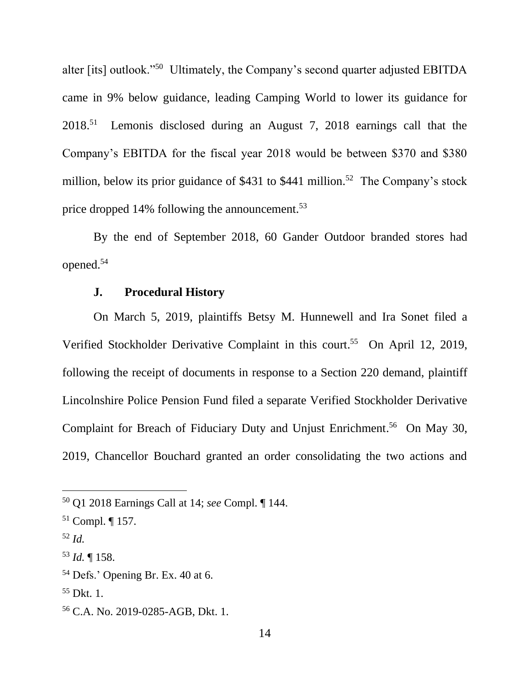alter [its] outlook."<sup>50</sup> Ultimately, the Company's second quarter adjusted EBITDA came in 9% below guidance, leading Camping World to lower its guidance for 2018.<sup>51</sup> Lemonis disclosed during an August 7, 2018 earnings call that the Company's EBITDA for the fiscal year 2018 would be between \$370 and \$380 million, below its prior guidance of \$431 to \$441 million.<sup>52</sup> The Company's stock price dropped 14% following the announcement.<sup>53</sup>

By the end of September 2018, 60 Gander Outdoor branded stores had opened.<sup>54</sup>

### **J. Procedural History**

On March 5, 2019, plaintiffs Betsy M. Hunnewell and Ira Sonet filed a Verified Stockholder Derivative Complaint in this court. 55 On April 12, 2019, following the receipt of documents in response to a Section 220 demand, plaintiff Lincolnshire Police Pension Fund filed a separate Verified Stockholder Derivative Complaint for Breach of Fiduciary Duty and Unjust Enrichment. 56 On May 30, 2019, Chancellor Bouchard granted an order consolidating the two actions and

<sup>52</sup> *Id.*

<sup>50</sup> Q1 2018 Earnings Call at 14; *see* Compl. ¶ 144.

<sup>51</sup> Compl. ¶ 157.

<sup>53</sup> *Id.* ¶ 158.

<sup>54</sup> Defs.' Opening Br. Ex. 40 at 6.

<sup>55</sup> Dkt. 1.

<sup>56</sup> C.A. No. 2019-0285-AGB, Dkt. 1.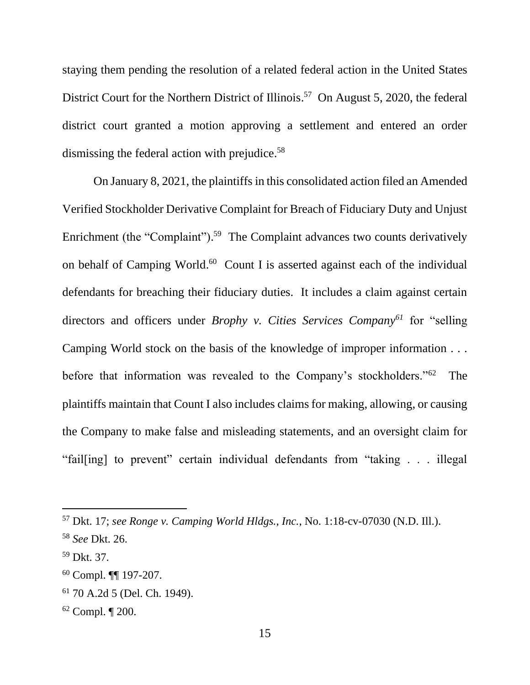staying them pending the resolution of a related federal action in the United States District Court for the Northern District of Illinois.<sup>57</sup> On August 5, 2020, the federal district court granted a motion approving a settlement and entered an order dismissing the federal action with prejudice.<sup>58</sup>

On January 8, 2021, the plaintiffs in this consolidated action filed an Amended Verified Stockholder Derivative Complaint for Breach of Fiduciary Duty and Unjust Enrichment (the "Complaint").<sup>59</sup> The Complaint advances two counts derivatively on behalf of Camping World.<sup>60</sup> Count I is asserted against each of the individual defendants for breaching their fiduciary duties. It includes a claim against certain directors and officers under *Brophy v. Cities Services Company<sup>61</sup>* for "selling Camping World stock on the basis of the knowledge of improper information . . . before that information was revealed to the Company's stockholders."<sup>62</sup> The plaintiffs maintain that Count I also includes claims for making, allowing, or causing the Company to make false and misleading statements, and an oversight claim for "fail[ing] to prevent" certain individual defendants from "taking . . . illegal

<sup>57</sup> Dkt. 17; *see Ronge v. Camping World Hldgs., Inc.*, No. 1:18-cv-07030 (N.D. Ill.).

<sup>58</sup> *See* Dkt. 26.

<sup>59</sup> Dkt. 37.

<sup>60</sup> Compl. ¶¶ 197-207.

<sup>61</sup> 70 A.2d 5 (Del. Ch. 1949).

<sup>62</sup> Compl. ¶ 200.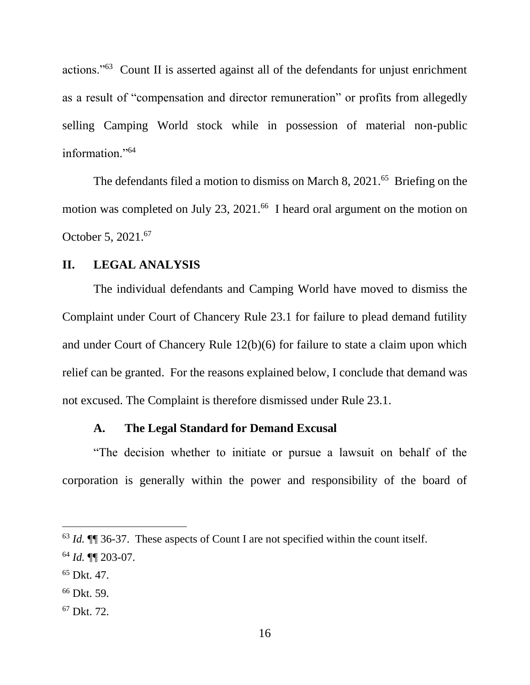actions."<sup>63</sup> Count II is asserted against all of the defendants for unjust enrichment as a result of "compensation and director remuneration" or profits from allegedly selling Camping World stock while in possession of material non-public information."<sup>64</sup>

The defendants filed a motion to dismiss on March 8, 2021.<sup>65</sup> Briefing on the motion was completed on July 23, 2021.<sup>66</sup> I heard oral argument on the motion on October 5, 2021. 67

### **II. LEGAL ANALYSIS**

The individual defendants and Camping World have moved to dismiss the Complaint under Court of Chancery Rule 23.1 for failure to plead demand futility and under Court of Chancery Rule 12(b)(6) for failure to state a claim upon which relief can be granted. For the reasons explained below, I conclude that demand was not excused. The Complaint is therefore dismissed under Rule 23.1.

#### **A. The Legal Standard for Demand Excusal**

"The decision whether to initiate or pursue a lawsuit on behalf of the corporation is generally within the power and responsibility of the board of

<sup>67</sup> Dkt. 72.

<sup>63</sup> *Id.* ¶¶ 36-37. These aspects of Count I are not specified within the count itself. <sup>64</sup> *Id.* ¶¶ 203-07.

<sup>65</sup> Dkt. 47.

<sup>66</sup> Dkt. 59.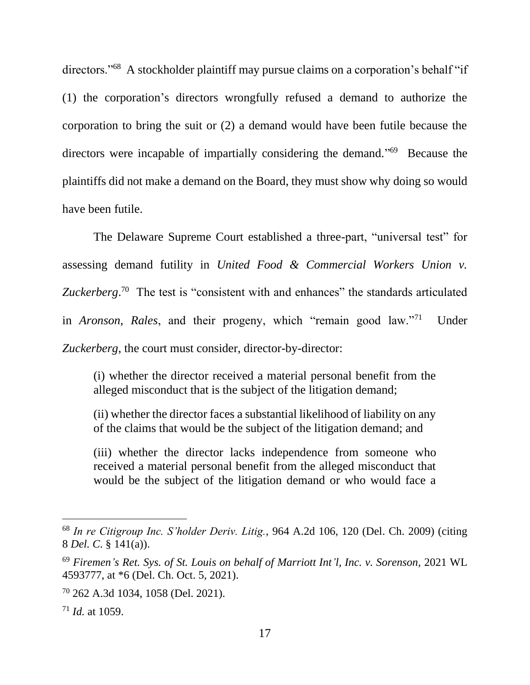directors."<sup>68</sup> A stockholder plaintiff may pursue claims on a corporation's behalf "if (1) the corporation's directors wrongfully refused a demand to authorize the corporation to bring the suit or (2) a demand would have been futile because the directors were incapable of impartially considering the demand."<sup>69</sup> Because the plaintiffs did not make a demand on the Board, they must show why doing so would have been futile.

The Delaware Supreme Court established a three-part, "universal test" for assessing demand futility in *United Food & Commercial Workers Union v.*  Zuckerberg.<sup>70</sup> The test is "consistent with and enhances" the standards articulated in *Aronson*, *Rales*, and their progeny, which "remain good law."<sup>71</sup> Under *Zuckerberg*, the court must consider, director-by-director:

(i) whether the director received a material personal benefit from the alleged misconduct that is the subject of the litigation demand;

(ii) whether the director faces a substantial likelihood of liability on any of the claims that would be the subject of the litigation demand; and

(iii) whether the director lacks independence from someone who received a material personal benefit from the alleged misconduct that would be the subject of the litigation demand or who would face a

<sup>68</sup> *In re Citigroup Inc. S'holder Deriv. Litig.*, 964 A.2d 106, 120 (Del. Ch. 2009) (citing 8 *Del. C*. § 141(a)).

<sup>69</sup> *Firemen's Ret. Sys. of St. Louis on behalf of Marriott Int'l, Inc. v. Sorenson*, 2021 WL 4593777, at \*6 (Del. Ch. Oct. 5, 2021).

<sup>70</sup> 262 A.3d 1034, 1058 (Del. 2021).

<sup>71</sup> *Id.* at 1059.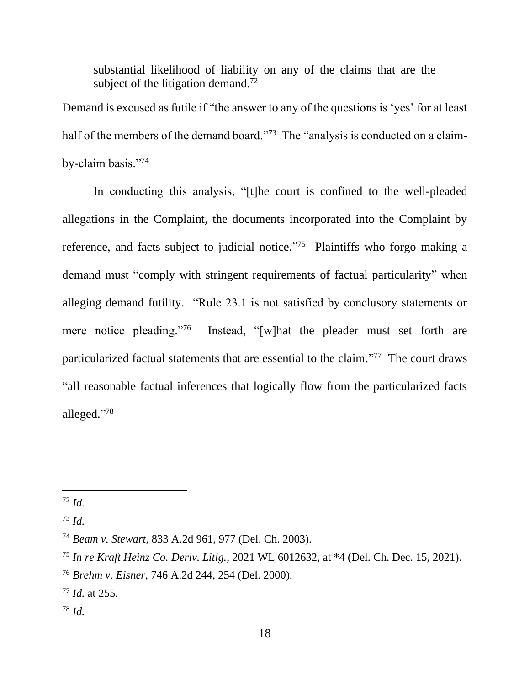substantial likelihood of liability on any of the claims that are the subject of the litigation demand.<sup> $72$ </sup>

Demand is excused as futile if "the answer to any of the questions is 'yes' for at least half of the members of the demand board."<sup>73</sup> The "analysis is conducted on a claimby-claim basis."<sup>74</sup>

In conducting this analysis, "[t]he court is confined to the well-pleaded allegations in the Complaint, the documents incorporated into the Complaint by reference, and facts subject to judicial notice."<sup>75</sup> Plaintiffs who forgo making a demand must "comply with stringent requirements of factual particularity" when alleging demand futility. "Rule 23.1 is not satisfied by conclusory statements or mere notice pleading."<sup>76</sup> Instead, "[w]hat the pleader must set forth are particularized factual statements that are essential to the claim."<sup>77</sup> The court draws "all reasonable factual inferences that logically flow from the particularized facts alleged." 78

<sup>72</sup> *Id.*

<sup>73</sup> *Id.*

<sup>74</sup> *Beam v. Stewart*, 833 A.2d 961, 977 (Del. Ch. 2003).

<sup>75</sup> *In re Kraft Heinz Co. Deriv. Litig.*, 2021 WL 6012632, at \*4 (Del. Ch. Dec. 15, 2021).

<sup>76</sup> *Brehm v. Eisner*, 746 A.2d 244, 254 (Del. 2000).

<sup>77</sup> *Id.* at 255.

<sup>78</sup> *Id.*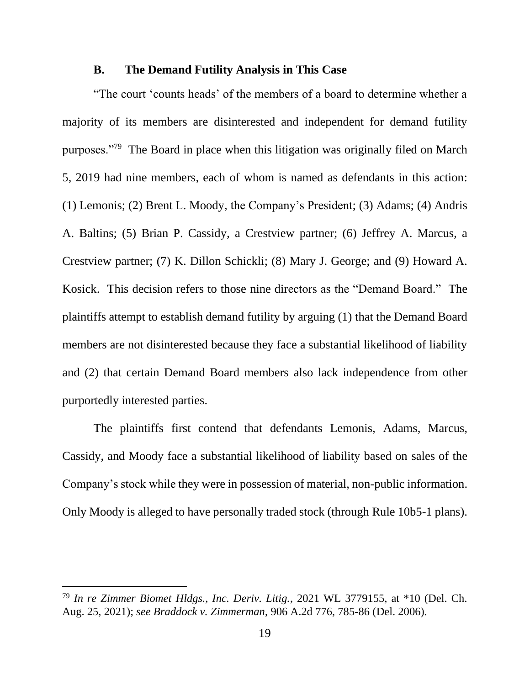#### **B. The Demand Futility Analysis in This Case**

"The court 'counts heads' of the members of a board to determine whether a majority of its members are disinterested and independent for demand futility purposes."<sup>79</sup> The Board in place when this litigation was originally filed on March 5, 2019 had nine members, each of whom is named as defendants in this action: (1) Lemonis; (2) Brent L. Moody, the Company's President; (3) Adams; (4) Andris A. Baltins; (5) Brian P. Cassidy, a Crestview partner; (6) Jeffrey A. Marcus, a Crestview partner; (7) K. Dillon Schickli; (8) Mary J. George; and (9) Howard A. Kosick. This decision refers to those nine directors as the "Demand Board." The plaintiffs attempt to establish demand futility by arguing (1) that the Demand Board members are not disinterested because they face a substantial likelihood of liability and (2) that certain Demand Board members also lack independence from other purportedly interested parties.

The plaintiffs first contend that defendants Lemonis, Adams, Marcus, Cassidy, and Moody face a substantial likelihood of liability based on sales of the Company's stock while they were in possession of material, non-public information. Only Moody is alleged to have personally traded stock (through Rule 10b5-1 plans).

<sup>79</sup> *In re Zimmer Biomet Hldgs., Inc. Deriv. Litig.*, 2021 WL 3779155, at \*10 (Del. Ch. Aug. 25, 2021); *see Braddock v. Zimmerman*, 906 A.2d 776, 785-86 (Del. 2006).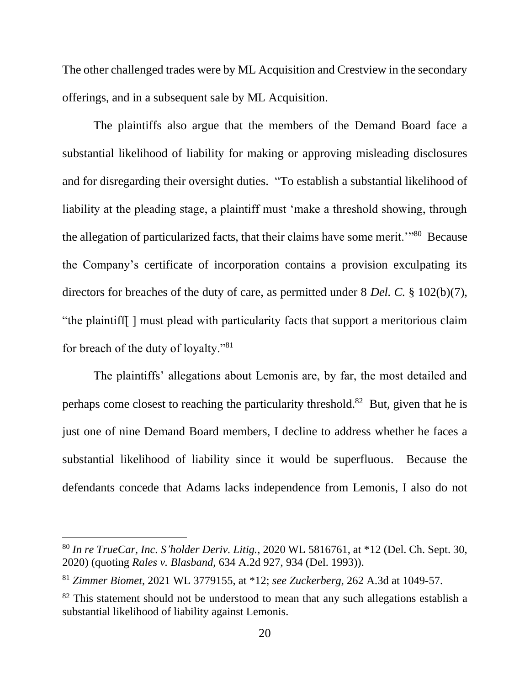The other challenged trades were by ML Acquisition and Crestview in the secondary offerings, and in a subsequent sale by ML Acquisition.

The plaintiffs also argue that the members of the Demand Board face a substantial likelihood of liability for making or approving misleading disclosures and for disregarding their oversight duties. "To establish a substantial likelihood of liability at the pleading stage, a plaintiff must 'make a threshold showing, through the allegation of particularized facts, that their claims have some merit."<sup>80</sup> Because the Company's certificate of incorporation contains a provision exculpating its directors for breaches of the duty of care, as permitted under 8 *Del. C.* § 102(b)(7), "the plaintiff[ ] must plead with particularity facts that support a meritorious claim for breach of the duty of loyalty."<sup>81</sup>

The plaintiffs' allegations about Lemonis are, by far, the most detailed and perhaps come closest to reaching the particularity threshold.<sup>82</sup> But, given that he is just one of nine Demand Board members, I decline to address whether he faces a substantial likelihood of liability since it would be superfluous. Because the defendants concede that Adams lacks independence from Lemonis, I also do not

<sup>80</sup> *In re TrueCar, Inc. S'holder Deriv. Litig.*, 2020 WL 5816761, at \*12 (Del. Ch. Sept. 30, 2020) (quoting *Rales v. Blasband*, 634 A.2d 927, 934 (Del. 1993)).

<sup>81</sup> *Zimmer Biomet*, 2021 WL 3779155, at \*12; *see Zuckerberg*, 262 A.3d at 1049-57.

 $82$  This statement should not be understood to mean that any such allegations establish a substantial likelihood of liability against Lemonis.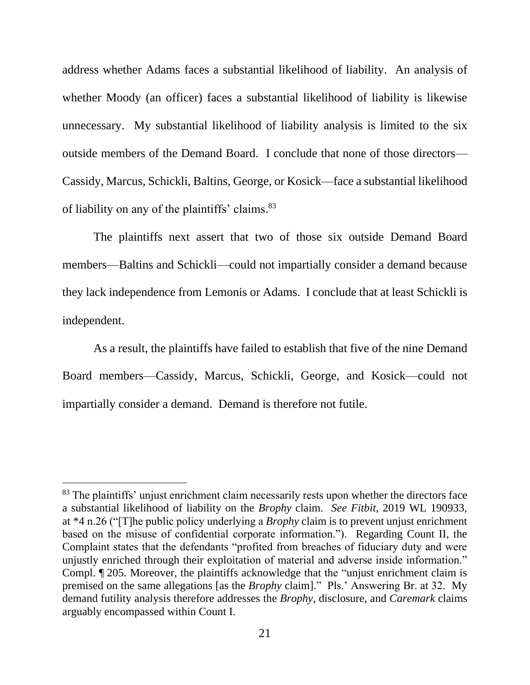address whether Adams faces a substantial likelihood of liability. An analysis of whether Moody (an officer) faces a substantial likelihood of liability is likewise unnecessary. My substantial likelihood of liability analysis is limited to the six outside members of the Demand Board. I conclude that none of those directors— Cassidy, Marcus, Schickli, Baltins, George, or Kosick—face a substantial likelihood of liability on any of the plaintiffs' claims.<sup>83</sup>

The plaintiffs next assert that two of those six outside Demand Board members—Baltins and Schickli—could not impartially consider a demand because they lack independence from Lemonis or Adams. I conclude that at least Schickli is independent.

As a result, the plaintiffs have failed to establish that five of the nine Demand Board members—Cassidy, Marcus, Schickli, George, and Kosick—could not impartially consider a demand. Demand is therefore not futile.

<sup>&</sup>lt;sup>83</sup> The plaintiffs' unjust enrichment claim necessarily rests upon whether the directors face a substantial likelihood of liability on the *Brophy* claim. *See Fitbit*, 2019 WL 190933, at \*4 n.26 ("[T]he public policy underlying a *Brophy* claim is to prevent unjust enrichment based on the misuse of confidential corporate information."). Regarding Count II, the Complaint states that the defendants "profited from breaches of fiduciary duty and were unjustly enriched through their exploitation of material and adverse inside information." Compl. ¶ 205. Moreover, the plaintiffs acknowledge that the "unjust enrichment claim is premised on the same allegations [as the *Brophy* claim]." Pls.' Answering Br. at 32. My demand futility analysis therefore addresses the *Brophy*, disclosure, and *Caremark* claims arguably encompassed within Count I.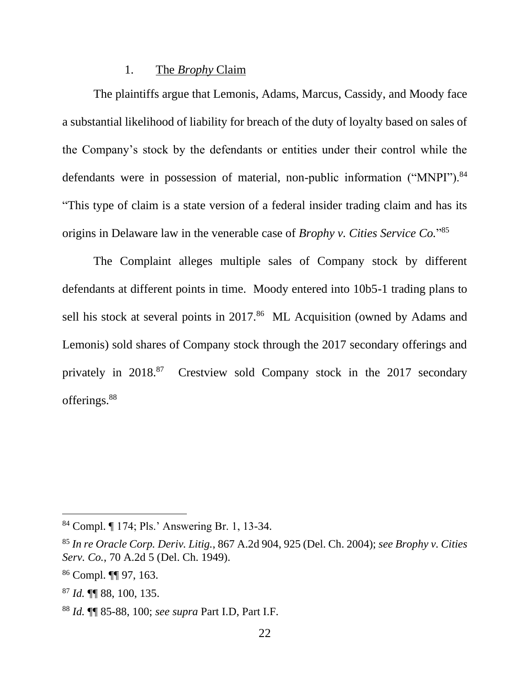#### 1. The *Brophy* Claim

The plaintiffs argue that Lemonis, Adams, Marcus, Cassidy, and Moody face a substantial likelihood of liability for breach of the duty of loyalty based on sales of the Company's stock by the defendants or entities under their control while the defendants were in possession of material, non-public information ("MNPI").<sup>84</sup> "This type of claim is a state version of a federal insider trading claim and has its origins in Delaware law in the venerable case of *Brophy v. Cities Service Co.*" 85

The Complaint alleges multiple sales of Company stock by different defendants at different points in time. Moody entered into 10b5-1 trading plans to sell his stock at several points in 2017.<sup>86</sup> ML Acquisition (owned by Adams and Lemonis) sold shares of Company stock through the 2017 secondary offerings and privately in 2018.<sup>87</sup> Crestview sold Company stock in the 2017 secondary offerings.<sup>88</sup>

<sup>84</sup> Compl. ¶ 174; Pls.' Answering Br. 1, 13-34.

<sup>85</sup> *In re Oracle Corp. Deriv. Litig.*, 867 A.2d 904, 925 (Del. Ch. 2004); *see Brophy v. Cities Serv. Co.*, 70 A.2d 5 (Del. Ch. 1949).

<sup>86</sup> Compl. ¶¶ 97, 163.

<sup>87</sup> *Id.* ¶¶ 88, 100, 135.

<sup>88</sup> *Id.* ¶¶ 85-88, 100; *see supra* Part I.D, Part I.F.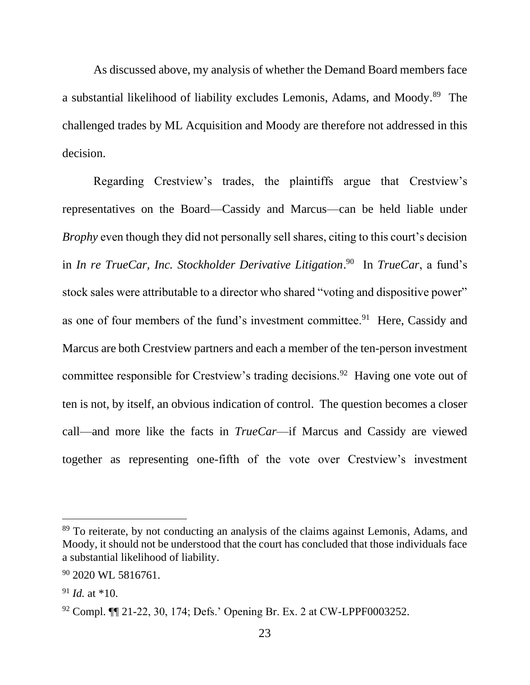As discussed above, my analysis of whether the Demand Board members face a substantial likelihood of liability excludes Lemonis, Adams, and Moody.<sup>89</sup> The challenged trades by ML Acquisition and Moody are therefore not addressed in this decision.

Regarding Crestview's trades, the plaintiffs argue that Crestview's representatives on the Board—Cassidy and Marcus—can be held liable under *Brophy* even though they did not personally sell shares, citing to this court's decision in *In re TrueCar, Inc. Stockholder Derivative Litigation*. 90 In *TrueCar*, a fund's stock sales were attributable to a director who shared "voting and dispositive power" as one of four members of the fund's investment committee.<sup>91</sup> Here, Cassidy and Marcus are both Crestview partners and each a member of the ten-person investment committee responsible for Crestview's trading decisions.<sup>92</sup> Having one vote out of ten is not, by itself, an obvious indication of control. The question becomes a closer call—and more like the facts in *TrueCar*—if Marcus and Cassidy are viewed together as representing one-fifth of the vote over Crestview's investment

<sup>&</sup>lt;sup>89</sup> To reiterate, by not conducting an analysis of the claims against Lemonis, Adams, and Moody, it should not be understood that the court has concluded that those individuals face a substantial likelihood of liability.

<sup>&</sup>lt;sup>90</sup> 2020 WL 5816761.

<sup>91</sup> *Id.* at \*10.

<sup>92</sup> Compl. ¶¶ 21-22, 30, 174; Defs.' Opening Br. Ex. 2 at CW-LPPF0003252.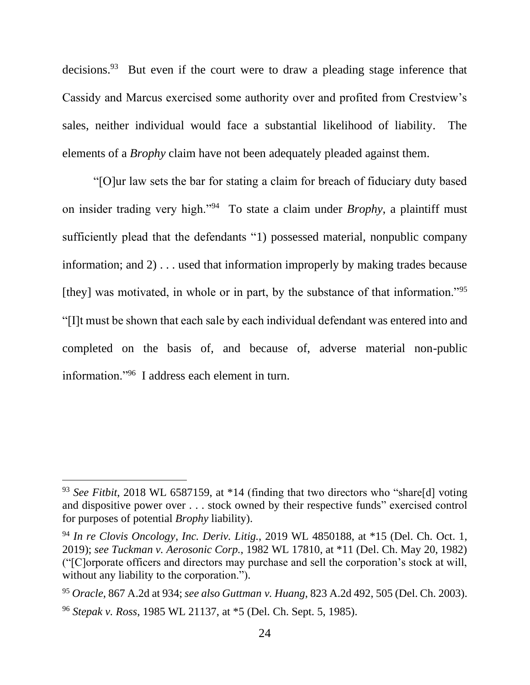decisions.<sup>93</sup> But even if the court were to draw a pleading stage inference that Cassidy and Marcus exercised some authority over and profited from Crestview's sales, neither individual would face a substantial likelihood of liability. The elements of a *Brophy* claim have not been adequately pleaded against them.

"[O]ur law sets the bar for stating a claim for breach of fiduciary duty based on insider trading very high."<sup>94</sup> To state a claim under *Brophy*, a plaintiff must sufficiently plead that the defendants "1) possessed material, nonpublic company information; and 2) . . . used that information improperly by making trades because [they] was motivated, in whole or in part, by the substance of that information."<sup>95</sup> "[I]t must be shown that each sale by each individual defendant was entered into and completed on the basis of, and because of, adverse material non-public information."<sup>96</sup> I address each element in turn.

<sup>93</sup> *See Fitbit*, 2018 WL 6587159, at \*14 (finding that two directors who "share[d] voting and dispositive power over . . . stock owned by their respective funds" exercised control for purposes of potential *Brophy* liability).

<sup>94</sup> *In re Clovis Oncology, Inc. Deriv. Litig.*, 2019 WL 4850188, at \*15 (Del. Ch. Oct. 1, 2019); *see Tuckman v. Aerosonic Corp.*, 1982 WL 17810, at \*11 (Del. Ch. May 20, 1982) ("[C]orporate officers and directors may purchase and sell the corporation's stock at will, without any liability to the corporation.").

<sup>95</sup> *Oracle*, 867 A.2d at 934; *see also Guttman v. Huang*, 823 A.2d 492, 505 (Del. Ch. 2003). <sup>96</sup> *Stepak v. Ross*, 1985 WL 21137, at \*5 (Del. Ch. Sept. 5, 1985).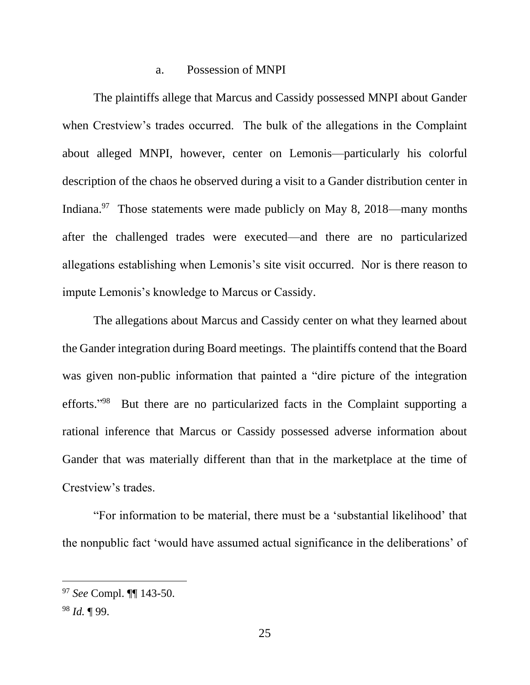#### a. Possession of MNPI

The plaintiffs allege that Marcus and Cassidy possessed MNPI about Gander when Crestview's trades occurred. The bulk of the allegations in the Complaint about alleged MNPI, however, center on Lemonis—particularly his colorful description of the chaos he observed during a visit to a Gander distribution center in Indiana.<sup>97</sup> Those statements were made publicly on May 8, 2018—many months after the challenged trades were executed—and there are no particularized allegations establishing when Lemonis's site visit occurred. Nor is there reason to impute Lemonis's knowledge to Marcus or Cassidy.

The allegations about Marcus and Cassidy center on what they learned about the Gander integration during Board meetings. The plaintiffs contend that the Board was given non-public information that painted a "dire picture of the integration efforts."<sup>98</sup> But there are no particularized facts in the Complaint supporting a rational inference that Marcus or Cassidy possessed adverse information about Gander that was materially different than that in the marketplace at the time of Crestview's trades.

"For information to be material, there must be a 'substantial likelihood' that the nonpublic fact 'would have assumed actual significance in the deliberations' of

<sup>97</sup> *See* Compl. ¶¶ 143-50.

<sup>98</sup> *Id.* ¶ 99.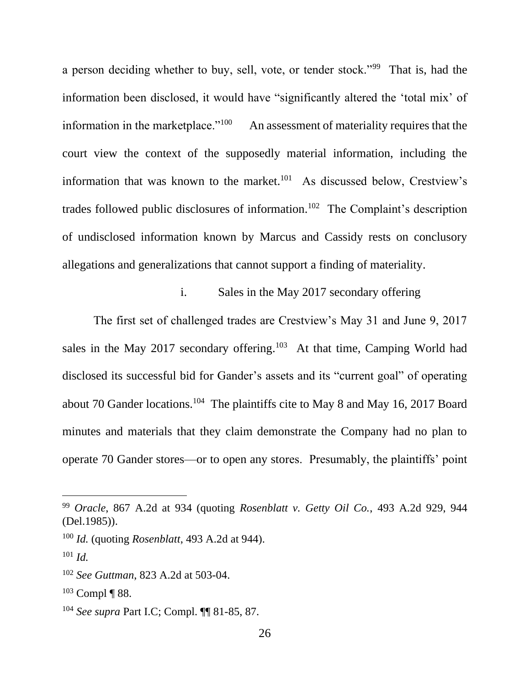a person deciding whether to buy, sell, vote, or tender stock."<sup>99</sup> That is, had the information been disclosed, it would have "significantly altered the 'total mix' of information in the marketplace. $100$  An assessment of materiality requires that the court view the context of the supposedly material information, including the information that was known to the market.<sup>101</sup> As discussed below, Crestview's trades followed public disclosures of information.<sup>102</sup> The Complaint's description of undisclosed information known by Marcus and Cassidy rests on conclusory allegations and generalizations that cannot support a finding of materiality.

# i. Sales in the May 2017 secondary offering

The first set of challenged trades are Crestview's May 31 and June 9, 2017 sales in the May 2017 secondary offering.<sup>103</sup> At that time, Camping World had disclosed its successful bid for Gander's assets and its "current goal" of operating about 70 Gander locations.<sup>104</sup> The plaintiffs cite to May 8 and May 16, 2017 Board minutes and materials that they claim demonstrate the Company had no plan to operate 70 Gander stores—or to open any stores. Presumably, the plaintiffs' point

<sup>99</sup> *Oracle*, 867 A.2d at 934 (quoting *Rosenblatt v. Getty Oil Co.*, 493 A.2d 929, 944 (Del.1985)).

<sup>100</sup> *Id.* (quoting *Rosenblatt*, 493 A.2d at 944).

<sup>101</sup> *Id.*

<sup>102</sup> *See Guttman*, 823 A.2d at 503-04.

 $103$  Compl¶ 88.

<sup>104</sup> *See supra* Part I.C; Compl. ¶¶ 81-85, 87.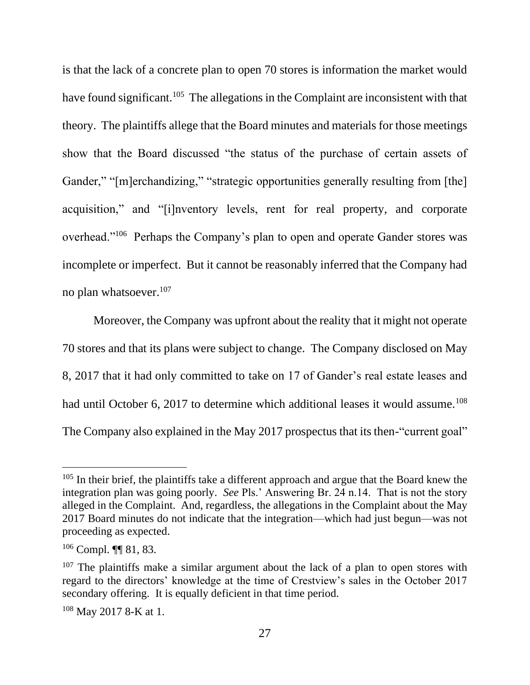is that the lack of a concrete plan to open 70 stores is information the market would have found significant.<sup>105</sup> The allegations in the Complaint are inconsistent with that theory. The plaintiffs allege that the Board minutes and materials for those meetings show that the Board discussed "the status of the purchase of certain assets of Gander," "[m]erchandizing," "strategic opportunities generally resulting from [the] acquisition," and "[i]nventory levels, rent for real property, and corporate overhead."<sup>106</sup> Perhaps the Company's plan to open and operate Gander stores was incomplete or imperfect. But it cannot be reasonably inferred that the Company had no plan whatsoever.<sup>107</sup>

Moreover, the Company was upfront about the reality that it might not operate 70 stores and that its plans were subject to change. The Company disclosed on May 8, 2017 that it had only committed to take on 17 of Gander's real estate leases and had until October 6, 2017 to determine which additional leases it would assume.<sup>108</sup> The Company also explained in the May 2017 prospectus that its then-"current goal"

<sup>&</sup>lt;sup>105</sup> In their brief, the plaintiffs take a different approach and argue that the Board knew the integration plan was going poorly. *See* Pls.' Answering Br. 24 n.14. That is not the story alleged in the Complaint. And, regardless, the allegations in the Complaint about the May 2017 Board minutes do not indicate that the integration—which had just begun—was not proceeding as expected.

<sup>106</sup> Compl. ¶¶ 81, 83.

 $107$  The plaintiffs make a similar argument about the lack of a plan to open stores with regard to the directors' knowledge at the time of Crestview's sales in the October 2017 secondary offering. It is equally deficient in that time period.

<sup>108</sup> May 2017 8-K at 1.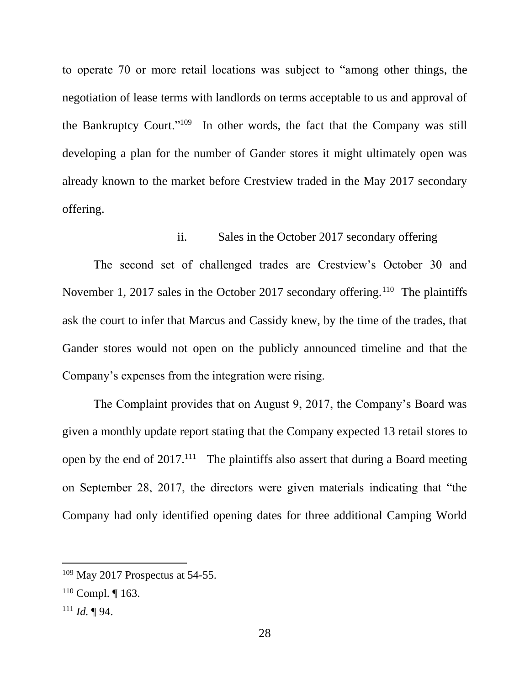to operate 70 or more retail locations was subject to "among other things, the negotiation of lease terms with landlords on terms acceptable to us and approval of the Bankruptcy Court."<sup>109</sup> In other words, the fact that the Company was still developing a plan for the number of Gander stores it might ultimately open was already known to the market before Crestview traded in the May 2017 secondary offering.

# ii. Sales in the October 2017 secondary offering

The second set of challenged trades are Crestview's October 30 and November 1, 2017 sales in the October 2017 secondary offering.<sup>110</sup> The plaintiffs ask the court to infer that Marcus and Cassidy knew, by the time of the trades, that Gander stores would not open on the publicly announced timeline and that the Company's expenses from the integration were rising.

The Complaint provides that on August 9, 2017, the Company's Board was given a monthly update report stating that the Company expected 13 retail stores to open by the end of  $2017$ .<sup>111</sup> The plaintiffs also assert that during a Board meeting on September 28, 2017, the directors were given materials indicating that "the Company had only identified opening dates for three additional Camping World

<sup>109</sup> May 2017 Prospectus at 54-55.

 $110$  Compl. | 163.

<sup>111</sup> *Id.* ¶ 94.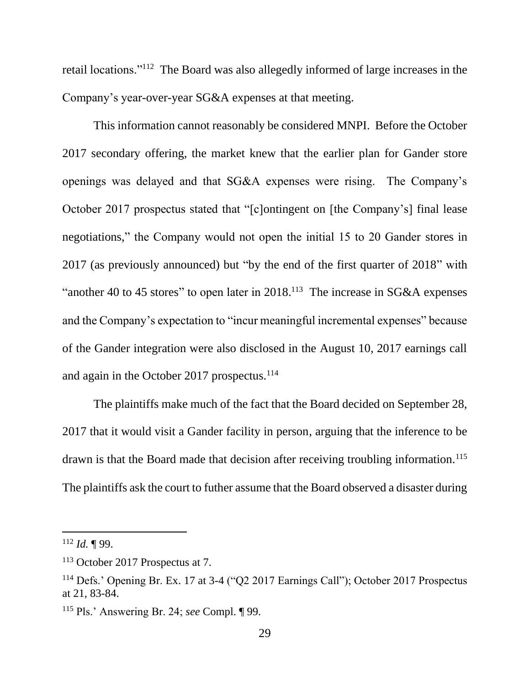retail locations."<sup>112</sup> The Board was also allegedly informed of large increases in the Company's year-over-year SG&A expenses at that meeting.

This information cannot reasonably be considered MNPI. Before the October 2017 secondary offering, the market knew that the earlier plan for Gander store openings was delayed and that SG&A expenses were rising. The Company's October 2017 prospectus stated that "[c]ontingent on [the Company's] final lease negotiations," the Company would not open the initial 15 to 20 Gander stores in 2017 (as previously announced) but "by the end of the first quarter of 2018" with "another 40 to 45 stores" to open later in  $2018$ .<sup>113</sup> The increase in SG&A expenses and the Company's expectation to "incur meaningful incremental expenses" because of the Gander integration were also disclosed in the August 10, 2017 earnings call and again in the October 2017 prospectus. $114$ 

The plaintiffs make much of the fact that the Board decided on September 28, 2017 that it would visit a Gander facility in person, arguing that the inference to be drawn is that the Board made that decision after receiving troubling information.<sup>115</sup> The plaintiffs ask the court to futher assume that the Board observed a disaster during

 $112$  *Id.* 199.

<sup>113</sup> October 2017 Prospectus at 7.

<sup>114</sup> Defs.' Opening Br. Ex. 17 at 3-4 ("Q2 2017 Earnings Call"); October 2017 Prospectus at 21, 83-84.

<sup>115</sup> Pls.' Answering Br. 24; *see* Compl. ¶ 99.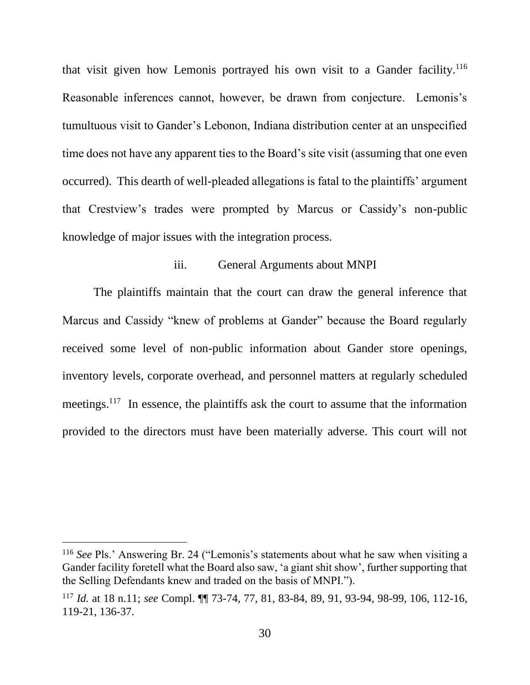that visit given how Lemonis portrayed his own visit to a Gander facility.<sup>116</sup> Reasonable inferences cannot, however, be drawn from conjecture. Lemonis's tumultuous visit to Gander's Lebonon, Indiana distribution center at an unspecified time does not have any apparent ties to the Board's site visit (assuming that one even occurred). This dearth of well-pleaded allegations is fatal to the plaintiffs' argument that Crestview's trades were prompted by Marcus or Cassidy's non-public knowledge of major issues with the integration process.

## iii. General Arguments about MNPI

The plaintiffs maintain that the court can draw the general inference that Marcus and Cassidy "knew of problems at Gander" because the Board regularly received some level of non-public information about Gander store openings, inventory levels, corporate overhead, and personnel matters at regularly scheduled meetings.<sup>117</sup> In essence, the plaintiffs ask the court to assume that the information provided to the directors must have been materially adverse. This court will not

<sup>116</sup> *See* Pls.' Answering Br. 24 ("Lemonis's statements about what he saw when visiting a Gander facility foretell what the Board also saw, 'a giant shit show', further supporting that the Selling Defendants knew and traded on the basis of MNPI.").

<sup>117</sup> *Id.* at 18 n.11; *see* Compl. ¶¶ 73-74, 77, 81, 83-84, 89, 91, 93-94, 98-99, 106, 112-16, 119-21, 136-37.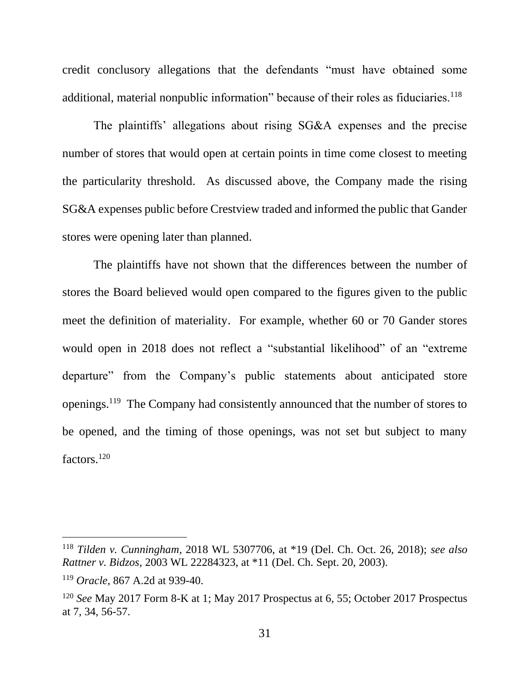credit conclusory allegations that the defendants "must have obtained some additional, material nonpublic information" because of their roles as fiduciaries.<sup>118</sup>

The plaintiffs' allegations about rising SG&A expenses and the precise number of stores that would open at certain points in time come closest to meeting the particularity threshold. As discussed above, the Company made the rising SG&A expenses public before Crestview traded and informed the public that Gander stores were opening later than planned.

The plaintiffs have not shown that the differences between the number of stores the Board believed would open compared to the figures given to the public meet the definition of materiality. For example, whether 60 or 70 Gander stores would open in 2018 does not reflect a "substantial likelihood" of an "extreme departure" from the Company's public statements about anticipated store openings.<sup>119</sup> The Company had consistently announced that the number of stores to be opened, and the timing of those openings, was not set but subject to many factors.<sup>120</sup>

<sup>118</sup> *Tilden v. Cunningham*, 2018 WL 5307706, at \*19 (Del. Ch. Oct. 26, 2018); *see also Rattner v. Bidzos*, 2003 WL 22284323, at \*11 (Del. Ch. Sept. 20, 2003).

<sup>119</sup> *Oracle*, 867 A.2d at 939-40.

<sup>120</sup> *See* May 2017 Form 8-K at 1; May 2017 Prospectus at 6, 55; October 2017 Prospectus at 7, 34, 56-57.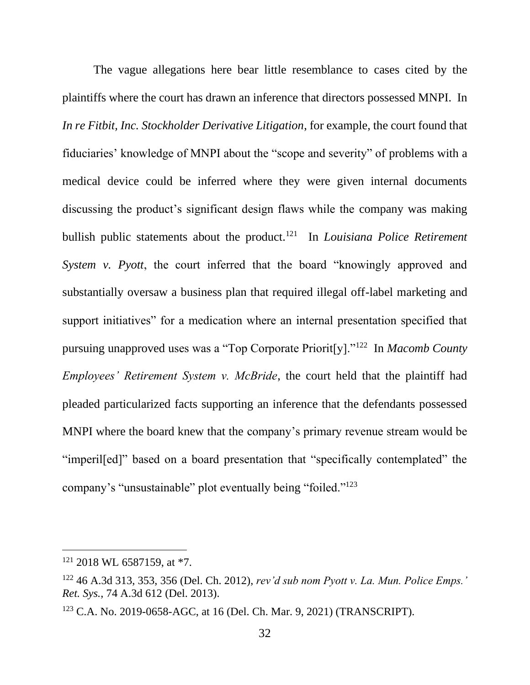The vague allegations here bear little resemblance to cases cited by the plaintiffs where the court has drawn an inference that directors possessed MNPI. In *In re Fitbit, Inc. Stockholder Derivative Litigation*, for example, the court found that fiduciaries' knowledge of MNPI about the "scope and severity" of problems with a medical device could be inferred where they were given internal documents discussing the product's significant design flaws while the company was making bullish public statements about the product.<sup>121</sup> In *Louisiana Police Retirement System v. Pyott*, the court inferred that the board "knowingly approved and substantially oversaw a business plan that required illegal off-label marketing and support initiatives" for a medication where an internal presentation specified that pursuing unapproved uses was a "Top Corporate Priorit[y]."<sup>122</sup> In *Macomb County Employees' Retirement System v. McBride*, the court held that the plaintiff had pleaded particularized facts supporting an inference that the defendants possessed MNPI where the board knew that the company's primary revenue stream would be "imperil[ed]" based on a board presentation that "specifically contemplated" the company's "unsustainable" plot eventually being "foiled."<sup>123</sup>

 $121$  2018 WL 6587159, at \*7.

<sup>122</sup> 46 A.3d 313, 353, 356 (Del. Ch. 2012), *rev'd sub nom Pyott v. La. Mun. Police Emps.' Ret. Sys.*, 74 A.3d 612 (Del. 2013).

<sup>123</sup> C.A. No. 2019-0658-AGC, at 16 (Del. Ch. Mar. 9, 2021) (TRANSCRIPT).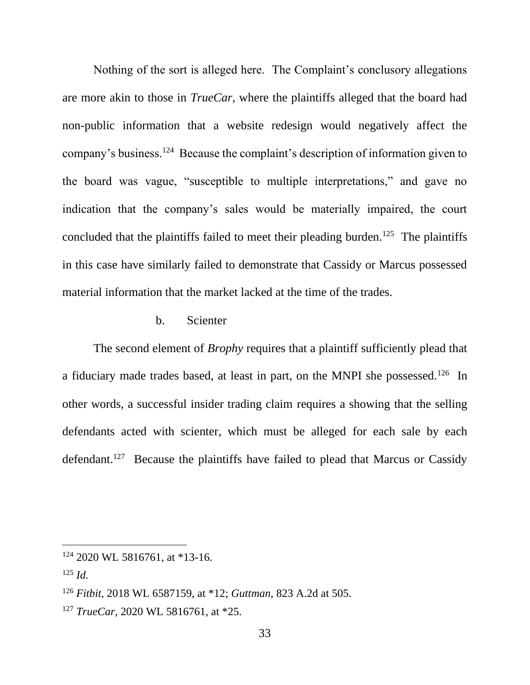Nothing of the sort is alleged here. The Complaint's conclusory allegations are more akin to those in *TrueCar*, where the plaintiffs alleged that the board had non-public information that a website redesign would negatively affect the company's business.<sup>124</sup> Because the complaint's description of information given to the board was vague, "susceptible to multiple interpretations," and gave no indication that the company's sales would be materially impaired, the court concluded that the plaintiffs failed to meet their pleading burden.<sup>125</sup> The plaintiffs in this case have similarly failed to demonstrate that Cassidy or Marcus possessed material information that the market lacked at the time of the trades.

### b. Scienter

The second element of *Brophy* requires that a plaintiff sufficiently plead that a fiduciary made trades based, at least in part, on the MNPI she possessed.<sup>126</sup> In other words, a successful insider trading claim requires a showing that the selling defendants acted with scienter, which must be alleged for each sale by each defendant.<sup>127</sup> Because the plaintiffs have failed to plead that Marcus or Cassidy

 $124$  2020 WL 5816761, at \*13-16.

<sup>125</sup> *Id.*

<sup>126</sup> *Fitbit*, 2018 WL 6587159, at \*12; *Guttman*, 823 A.2d at 505.

<sup>127</sup> *TrueCar*, 2020 WL 5816761, at \*25.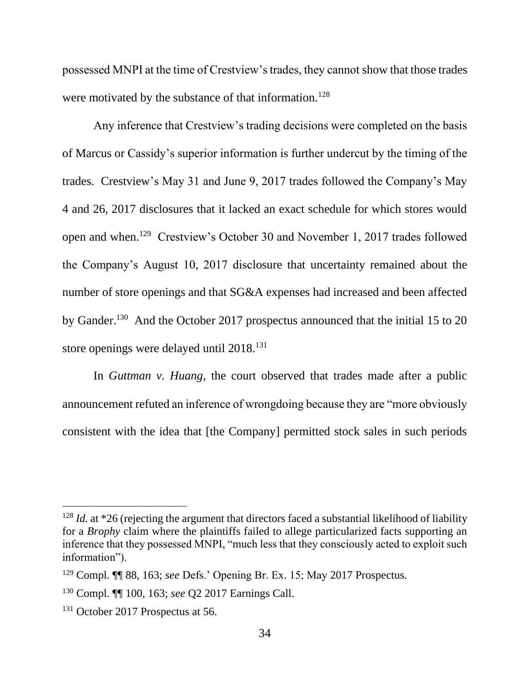possessed MNPI at the time of Crestview's trades, they cannot show that those trades were motivated by the substance of that information.<sup>128</sup>

Any inference that Crestview's trading decisions were completed on the basis of Marcus or Cassidy's superior information is further undercut by the timing of the trades. Crestview's May 31 and June 9, 2017 trades followed the Company's May 4 and 26, 2017 disclosures that it lacked an exact schedule for which stores would open and when.<sup>129</sup> Crestview's October 30 and November 1, 2017 trades followed the Company's August 10, 2017 disclosure that uncertainty remained about the number of store openings and that SG&A expenses had increased and been affected by Gander.<sup>130</sup> And the October 2017 prospectus announced that the initial 15 to 20 store openings were delayed until 2018.<sup>131</sup>

In *Guttman v. Huang*, the court observed that trades made after a public announcement refuted an inference of wrongdoing because they are "more obviously consistent with the idea that [the Company] permitted stock sales in such periods

<sup>&</sup>lt;sup>128</sup> *Id.* at \*26 (rejecting the argument that directors faced a substantial likelihood of liability for a *Brophy* claim where the plaintiffs failed to allege particularized facts supporting an inference that they possessed MNPI, "much less that they consciously acted to exploit such information").

<sup>129</sup> Compl. ¶¶ 88, 163; *see* Defs.' Opening Br. Ex. 15; May 2017 Prospectus.

<sup>130</sup> Compl. ¶¶ 100, 163; *see* Q2 2017 Earnings Call.

<sup>&</sup>lt;sup>131</sup> October 2017 Prospectus at 56.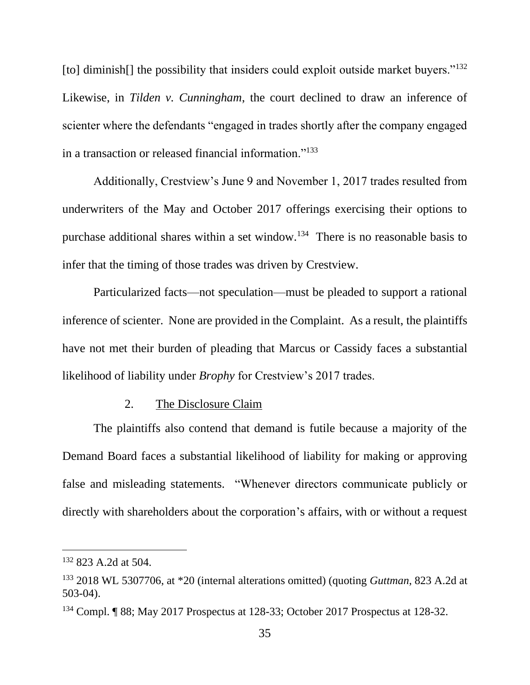[to] diminish[] the possibility that insiders could exploit outside market buyers."<sup>132</sup> Likewise, in *Tilden v. Cunningham*, the court declined to draw an inference of scienter where the defendants "engaged in trades shortly after the company engaged in a transaction or released financial information."<sup>133</sup>

Additionally, Crestview's June 9 and November 1, 2017 trades resulted from underwriters of the May and October 2017 offerings exercising their options to purchase additional shares within a set window.<sup>134</sup> There is no reasonable basis to infer that the timing of those trades was driven by Crestview.

Particularized facts—not speculation—must be pleaded to support a rational inference of scienter. None are provided in the Complaint. As a result, the plaintiffs have not met their burden of pleading that Marcus or Cassidy faces a substantial likelihood of liability under *Brophy* for Crestview's 2017 trades.

#### 2. The Disclosure Claim

The plaintiffs also contend that demand is futile because a majority of the Demand Board faces a substantial likelihood of liability for making or approving false and misleading statements. "Whenever directors communicate publicly or directly with shareholders about the corporation's affairs, with or without a request

<sup>&</sup>lt;sup>132</sup> 823 A.2d at 504.

<sup>133</sup> 2018 WL 5307706, at \*20 (internal alterations omitted) (quoting *Guttman*, 823 A.2d at 503-04).

<sup>134</sup> Compl. ¶ 88; May 2017 Prospectus at 128-33; October 2017 Prospectus at 128-32.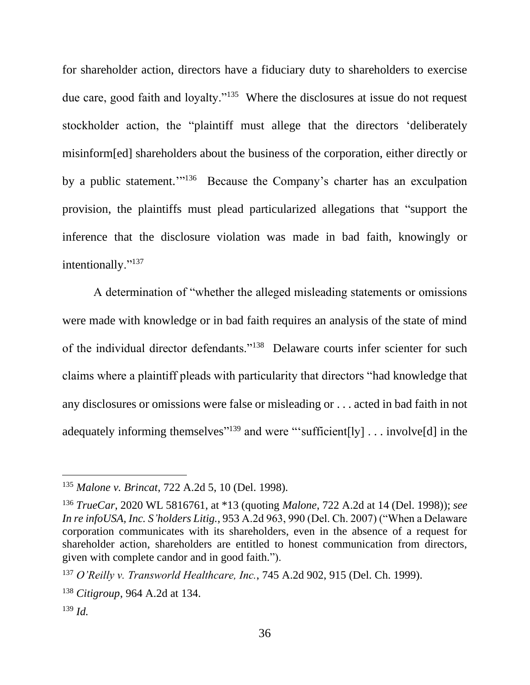for shareholder action, directors have a fiduciary duty to shareholders to exercise due care, good faith and loyalty."<sup>135</sup> Where the disclosures at issue do not request stockholder action, the "plaintiff must allege that the directors 'deliberately misinform[ed] shareholders about the business of the corporation, either directly or by a public statement."<sup>136</sup> Because the Company's charter has an exculpation provision, the plaintiffs must plead particularized allegations that "support the inference that the disclosure violation was made in bad faith, knowingly or intentionally."<sup>137</sup>

A determination of "whether the alleged misleading statements or omissions were made with knowledge or in bad faith requires an analysis of the state of mind of the individual director defendants."<sup>138</sup> Delaware courts infer scienter for such claims where a plaintiff pleads with particularity that directors "had knowledge that any disclosures or omissions were false or misleading or . . . acted in bad faith in not adequately informing themselves<sup>"139</sup> and were "'sufficient[ly]  $\dots$  involve[d] in the

<sup>135</sup> *Malone v. Brincat*, 722 A.2d 5, 10 (Del. 1998).

<sup>136</sup> *TrueCar*, 2020 WL 5816761, at \*13 (quoting *Malone*, 722 A.2d at 14 (Del. 1998)); *see In re infoUSA, Inc. S'holders Litig.*, 953 A.2d 963, 990 (Del. Ch. 2007) ("When a Delaware corporation communicates with its shareholders, even in the absence of a request for shareholder action, shareholders are entitled to honest communication from directors, given with complete candor and in good faith.").

<sup>137</sup> *O'Reilly v. Transworld Healthcare, Inc.*, 745 A.2d 902, 915 (Del. Ch. 1999).

<sup>138</sup> *Citigroup*, 964 A.2d at 134.

<sup>139</sup> *Id.*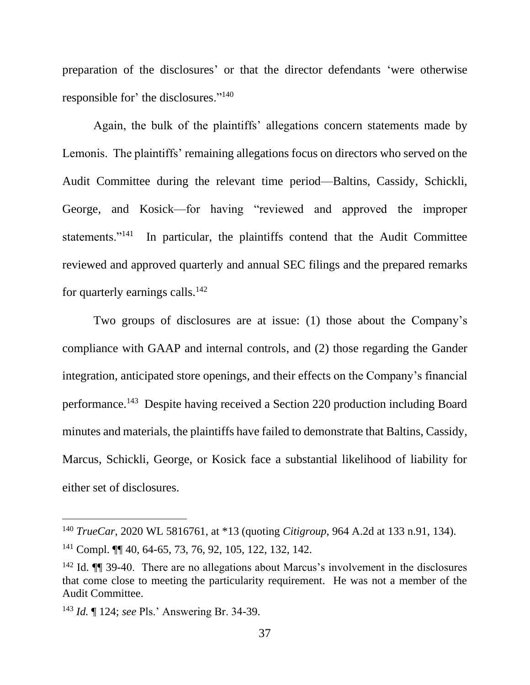preparation of the disclosures' or that the director defendants 'were otherwise responsible for' the disclosures."<sup>140</sup>

Again, the bulk of the plaintiffs' allegations concern statements made by Lemonis. The plaintiffs' remaining allegations focus on directors who served on the Audit Committee during the relevant time period—Baltins, Cassidy, Schickli, George, and Kosick—for having "reviewed and approved the improper statements."<sup>141</sup> In particular, the plaintiffs contend that the Audit Committee reviewed and approved quarterly and annual SEC filings and the prepared remarks for quarterly earnings calls. $^{142}$ 

Two groups of disclosures are at issue: (1) those about the Company's compliance with GAAP and internal controls, and (2) those regarding the Gander integration, anticipated store openings, and their effects on the Company's financial performance.<sup>143</sup> Despite having received a Section 220 production including Board minutes and materials, the plaintiffs have failed to demonstrate that Baltins, Cassidy, Marcus, Schickli, George, or Kosick face a substantial likelihood of liability for either set of disclosures.

<sup>140</sup> *TrueCar*, 2020 WL 5816761, at \*13 (quoting *Citigroup*, 964 A.2d at 133 n.91, 134).

<sup>141</sup> Compl. ¶¶ 40, 64-65, 73, 76, 92, 105, 122, 132, 142.

<sup>&</sup>lt;sup>142</sup> Id.  $\P$  39-40. There are no allegations about Marcus's involvement in the disclosures that come close to meeting the particularity requirement. He was not a member of the Audit Committee.

<sup>143</sup> *Id.* ¶ 124; *see* Pls.' Answering Br. 34-39.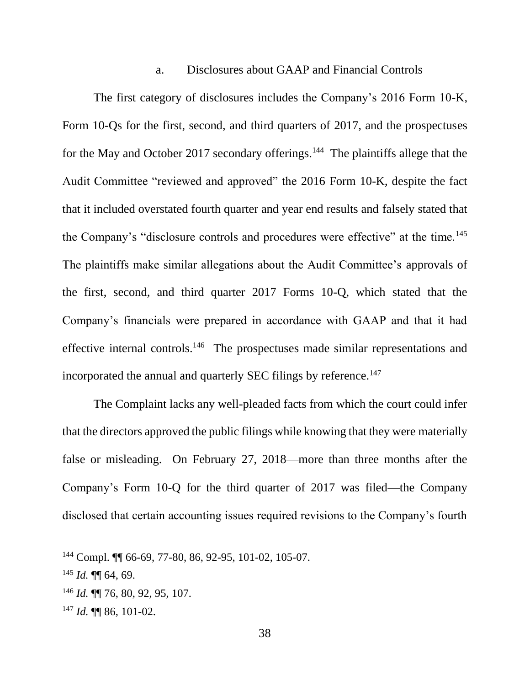#### a. Disclosures about GAAP and Financial Controls

The first category of disclosures includes the Company's 2016 Form 10-K, Form 10-Qs for the first, second, and third quarters of 2017, and the prospectuses for the May and October 2017 secondary offerings.<sup>144</sup> The plaintiffs allege that the Audit Committee "reviewed and approved" the 2016 Form 10-K, despite the fact that it included overstated fourth quarter and year end results and falsely stated that the Company's "disclosure controls and procedures were effective" at the time.<sup>145</sup> The plaintiffs make similar allegations about the Audit Committee's approvals of the first, second, and third quarter 2017 Forms 10-Q, which stated that the Company's financials were prepared in accordance with GAAP and that it had effective internal controls.<sup>146</sup> The prospectuses made similar representations and incorporated the annual and quarterly SEC filings by reference.<sup>147</sup>

The Complaint lacks any well-pleaded facts from which the court could infer that the directors approved the public filings while knowing that they were materially false or misleading. On February 27, 2018—more than three months after the Company's Form 10-Q for the third quarter of 2017 was filed—the Company disclosed that certain accounting issues required revisions to the Company's fourth

<sup>144</sup> Compl. ¶¶ 66-69, 77-80, 86, 92-95, 101-02, 105-07.

 $145$  *Id.*  $\P\P$  64, 69.

<sup>146</sup> *Id.* ¶¶ 76, 80, 92, 95, 107.

<sup>147</sup> *Id.* ¶¶ 86, 101-02.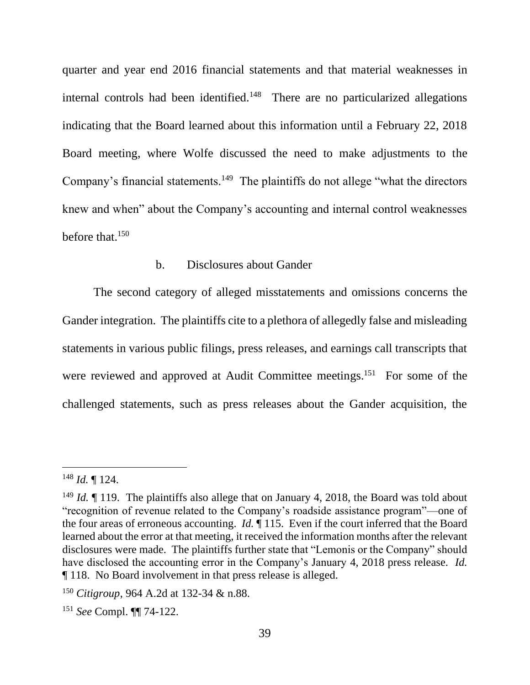quarter and year end 2016 financial statements and that material weaknesses in internal controls had been identified.<sup>148</sup> There are no particularized allegations indicating that the Board learned about this information until a February 22, 2018 Board meeting, where Wolfe discussed the need to make adjustments to the Company's financial statements.<sup>149</sup> The plaintiffs do not allege "what the directors knew and when" about the Company's accounting and internal control weaknesses before that.<sup>150</sup>

### b. Disclosures about Gander

The second category of alleged misstatements and omissions concerns the Gander integration. The plaintiffs cite to a plethora of allegedly false and misleading statements in various public filings, press releases, and earnings call transcripts that were reviewed and approved at Audit Committee meetings.<sup>151</sup> For some of the challenged statements, such as press releases about the Gander acquisition, the

<sup>148</sup> *Id.* ¶ 124.

<sup>&</sup>lt;sup>149</sup> *Id.* If 119. The plaintiffs also allege that on January 4, 2018, the Board was told about "recognition of revenue related to the Company's roadside assistance program"—one of the four areas of erroneous accounting. *Id.* ¶ 115. Even if the court inferred that the Board learned about the error at that meeting, it received the information months after the relevant disclosures were made. The plaintiffs further state that "Lemonis or the Company" should have disclosed the accounting error in the Company's January 4, 2018 press release. *Id.* ¶ 118. No Board involvement in that press release is alleged.

<sup>150</sup> *Citigroup*, 964 A.2d at 132-34 & n.88.

<sup>151</sup> *See* Compl. ¶¶ 74-122.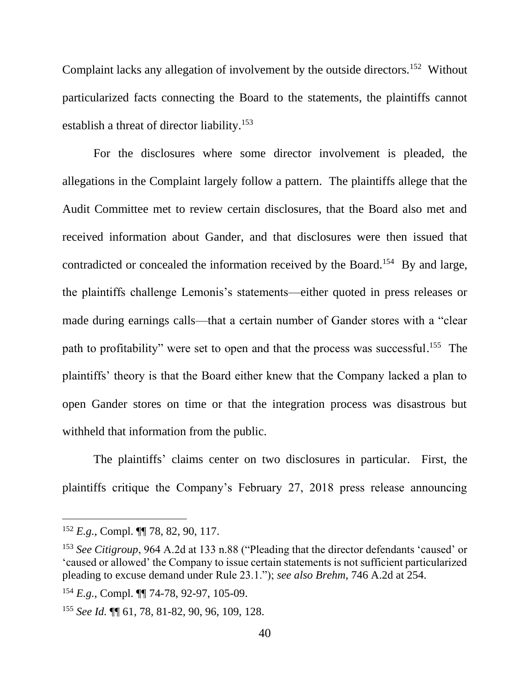Complaint lacks any allegation of involvement by the outside directors.<sup>152</sup> Without particularized facts connecting the Board to the statements, the plaintiffs cannot establish a threat of director liability.<sup>153</sup>

For the disclosures where some director involvement is pleaded, the allegations in the Complaint largely follow a pattern. The plaintiffs allege that the Audit Committee met to review certain disclosures, that the Board also met and received information about Gander, and that disclosures were then issued that contradicted or concealed the information received by the Board.<sup>154</sup> By and large, the plaintiffs challenge Lemonis's statements—either quoted in press releases or made during earnings calls—that a certain number of Gander stores with a "clear path to profitability" were set to open and that the process was successful.<sup>155</sup> The plaintiffs' theory is that the Board either knew that the Company lacked a plan to open Gander stores on time or that the integration process was disastrous but withheld that information from the public.

The plaintiffs' claims center on two disclosures in particular. First, the plaintiffs critique the Company's February 27, 2018 press release announcing

<sup>152</sup> *E.g.*, Compl. ¶¶ 78, 82, 90, 117.

<sup>153</sup> *See Citigroup*, 964 A.2d at 133 n.88 ("Pleading that the director defendants 'caused' or 'caused or allowed' the Company to issue certain statements is not sufficient particularized pleading to excuse demand under Rule 23.1."); *see also Brehm*, 746 A.2d at 254.

<sup>154</sup> *E.g.*, Compl. ¶¶ 74-78, 92-97, 105-09.

<sup>155</sup> *See Id.* ¶¶ 61, 78, 81-82, 90, 96, 109, 128.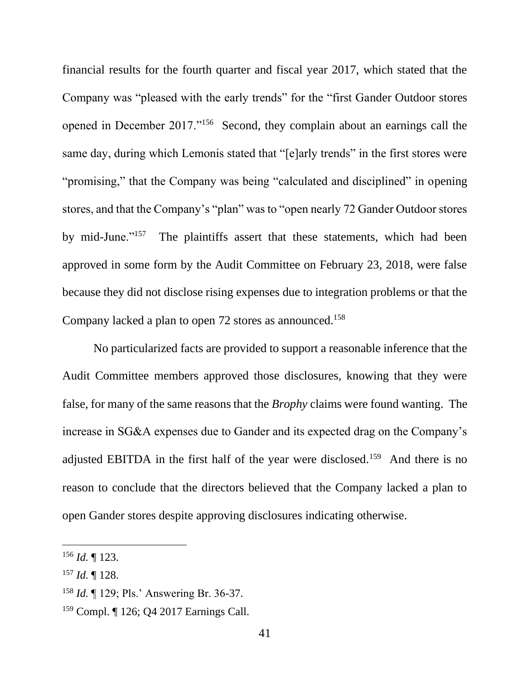financial results for the fourth quarter and fiscal year 2017, which stated that the Company was "pleased with the early trends" for the "first Gander Outdoor stores opened in December 2017."<sup>156</sup> Second, they complain about an earnings call the same day, during which Lemonis stated that "[e]arly trends" in the first stores were "promising," that the Company was being "calculated and disciplined" in opening stores, and that the Company's "plan" was to "open nearly 72 Gander Outdoor stores by mid-June."<sup>157</sup> The plaintiffs assert that these statements, which had been approved in some form by the Audit Committee on February 23, 2018, were false because they did not disclose rising expenses due to integration problems or that the Company lacked a plan to open 72 stores as announced.<sup>158</sup>

No particularized facts are provided to support a reasonable inference that the Audit Committee members approved those disclosures, knowing that they were false, for many of the same reasons that the *Brophy* claims were found wanting. The increase in SG&A expenses due to Gander and its expected drag on the Company's adjusted EBITDA in the first half of the year were disclosed.<sup>159</sup> And there is no reason to conclude that the directors believed that the Company lacked a plan to open Gander stores despite approving disclosures indicating otherwise.

<sup>156</sup> *Id.* ¶ 123.

<sup>157</sup> *Id.* ¶ 128.

<sup>158</sup> *Id.* ¶ 129; Pls.' Answering Br. 36-37.

<sup>159</sup> Compl. ¶ 126; Q4 2017 Earnings Call.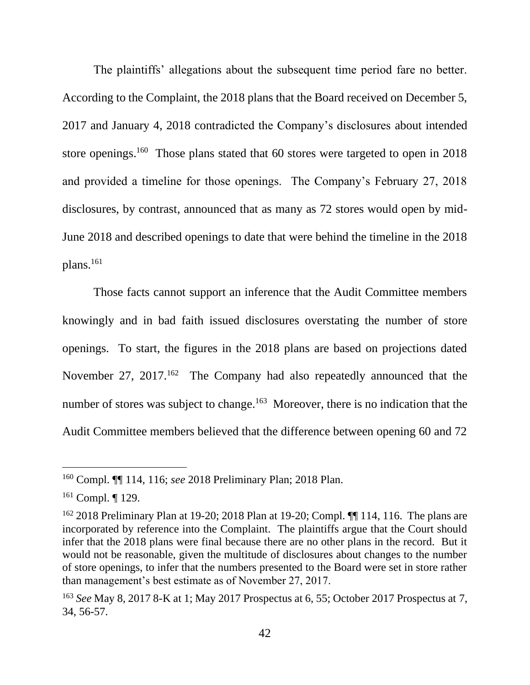The plaintiffs' allegations about the subsequent time period fare no better. According to the Complaint, the 2018 plans that the Board received on December 5, 2017 and January 4, 2018 contradicted the Company's disclosures about intended store openings.<sup>160</sup> Those plans stated that 60 stores were targeted to open in 2018 and provided a timeline for those openings. The Company's February 27, 2018 disclosures, by contrast, announced that as many as 72 stores would open by mid-June 2018 and described openings to date that were behind the timeline in the 2018 plans.<sup>161</sup>

Those facts cannot support an inference that the Audit Committee members knowingly and in bad faith issued disclosures overstating the number of store openings. To start, the figures in the 2018 plans are based on projections dated November 27, 2017.<sup>162</sup> The Company had also repeatedly announced that the number of stores was subject to change.<sup>163</sup> Moreover, there is no indication that the Audit Committee members believed that the difference between opening 60 and 72

<sup>160</sup> Compl. ¶¶ 114, 116; *see* 2018 Preliminary Plan; 2018 Plan.

<sup>&</sup>lt;sup>161</sup> Compl. ¶ 129.

<sup>&</sup>lt;sup>162</sup> 2018 Preliminary Plan at 19-20; 2018 Plan at 19-20; Compl. ¶ 114, 116. The plans are incorporated by reference into the Complaint. The plaintiffs argue that the Court should infer that the 2018 plans were final because there are no other plans in the record. But it would not be reasonable, given the multitude of disclosures about changes to the number of store openings, to infer that the numbers presented to the Board were set in store rather than management's best estimate as of November 27, 2017.

<sup>163</sup> *See* May 8, 2017 8-K at 1; May 2017 Prospectus at 6, 55; October 2017 Prospectus at 7, 34, 56-57.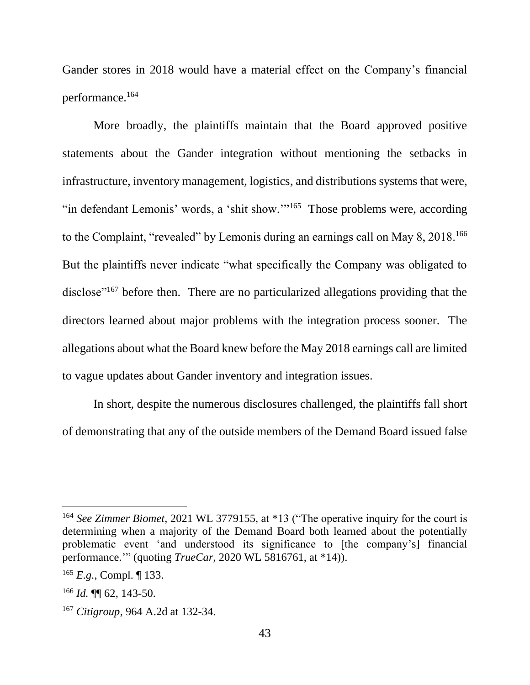Gander stores in 2018 would have a material effect on the Company's financial performance.<sup>164</sup>

More broadly, the plaintiffs maintain that the Board approved positive statements about the Gander integration without mentioning the setbacks in infrastructure, inventory management, logistics, and distributions systems that were, "in defendant Lemonis' words, a 'shit show."<sup>165</sup> Those problems were, according to the Complaint, "revealed" by Lemonis during an earnings call on May 8, 2018.<sup>166</sup> But the plaintiffs never indicate "what specifically the Company was obligated to disclose"<sup>167</sup> before then. There are no particularized allegations providing that the directors learned about major problems with the integration process sooner. The allegations about what the Board knew before the May 2018 earnings call are limited to vague updates about Gander inventory and integration issues.

In short, despite the numerous disclosures challenged, the plaintiffs fall short of demonstrating that any of the outside members of the Demand Board issued false

<sup>164</sup> *See Zimmer Biomet*, 2021 WL 3779155, at \*13 ("The operative inquiry for the court is determining when a majority of the Demand Board both learned about the potentially problematic event 'and understood its significance to [the company's] financial performance.'" (quoting *TrueCar*, 2020 WL 5816761, at \*14)).

<sup>165</sup> *E.g.*, Compl. ¶ 133.

<sup>166</sup> *Id.* ¶¶ 62, 143-50.

<sup>167</sup> *Citigroup*, 964 A.2d at 132-34.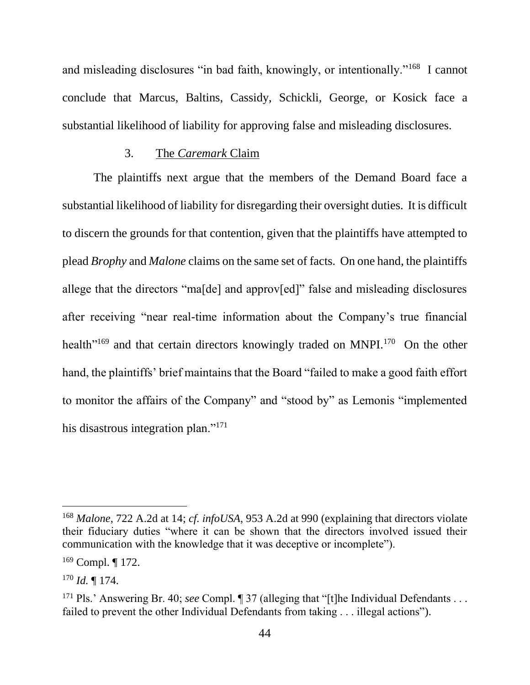and misleading disclosures "in bad faith, knowingly, or intentionally."<sup>168</sup> I cannot conclude that Marcus, Baltins, Cassidy, Schickli, George, or Kosick face a substantial likelihood of liability for approving false and misleading disclosures.

## 3. The *Caremark* Claim

The plaintiffs next argue that the members of the Demand Board face a substantial likelihood of liability for disregarding their oversight duties. It is difficult to discern the grounds for that contention, given that the plaintiffs have attempted to plead *Brophy* and *Malone* claims on the same set of facts. On one hand, the plaintiffs allege that the directors "ma[de] and approv[ed]" false and misleading disclosures after receiving "near real-time information about the Company's true financial health<sup>"169</sup> and that certain directors knowingly traded on MNPI.<sup>170</sup> On the other hand, the plaintiffs' brief maintains that the Board "failed to make a good faith effort to monitor the affairs of the Company" and "stood by" as Lemonis "implemented his disastrous integration plan."<sup>171</sup>

<sup>168</sup> *Malone*, 722 A.2d at 14; *cf. infoUSA*, 953 A.2d at 990 (explaining that directors violate their fiduciary duties "where it can be shown that the directors involved issued their communication with the knowledge that it was deceptive or incomplete").

 $169$  Compl. | 172.

<sup>170</sup> *Id.* ¶ 174.

<sup>&</sup>lt;sup>171</sup> Pls.' Answering Br. 40; *see* Compl. ¶ 37 (alleging that "[t]he Individual Defendants . . . failed to prevent the other Individual Defendants from taking . . . illegal actions").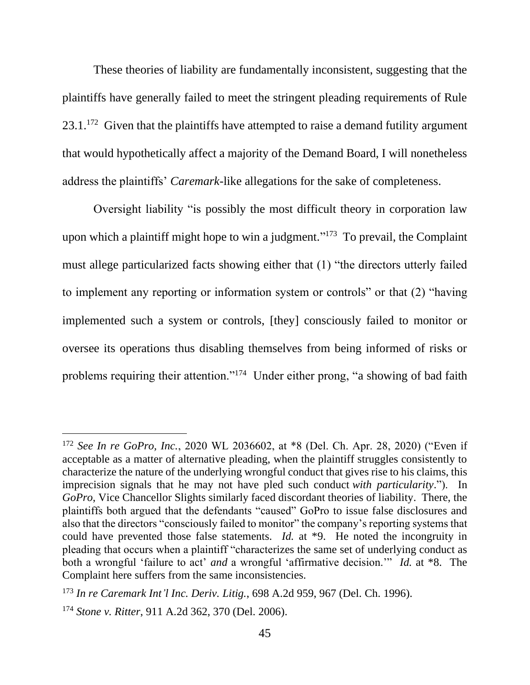These theories of liability are fundamentally inconsistent, suggesting that the plaintiffs have generally failed to meet the stringent pleading requirements of Rule  $23.1$ <sup>172</sup> Given that the plaintiffs have attempted to raise a demand futility argument that would hypothetically affect a majority of the Demand Board, I will nonetheless address the plaintiffs' *Caremark*-like allegations for the sake of completeness.

Oversight liability "is possibly the most difficult theory in corporation law upon which a plaintiff might hope to win a judgment."<sup>173</sup> To prevail, the Complaint must allege particularized facts showing either that (1) "the directors utterly failed to implement any reporting or information system or controls" or that (2) "having implemented such a system or controls, [they] consciously failed to monitor or oversee its operations thus disabling themselves from being informed of risks or problems requiring their attention."<sup>174</sup> Under either prong, "a showing of bad faith

<sup>172</sup> *See In re GoPro, Inc.*, 2020 WL 2036602, at \*8 (Del. Ch. Apr. 28, 2020) ("Even if acceptable as a matter of alternative pleading, when the plaintiff struggles consistently to characterize the nature of the underlying wrongful conduct that gives rise to his claims, this imprecision signals that he may not have pled such conduct *with particularity*."). In *GoPro*, Vice Chancellor Slights similarly faced discordant theories of liability. There, the plaintiffs both argued that the defendants "caused" GoPro to issue false disclosures and also that the directors "consciously failed to monitor" the company's reporting systems that could have prevented those false statements. *Id.* at \*9. He noted the incongruity in pleading that occurs when a plaintiff "characterizes the same set of underlying conduct as both a wrongful 'failure to act' *and* a wrongful 'affirmative decision.'" *Id.* at \*8. The Complaint here suffers from the same inconsistencies.

<sup>173</sup> *In re Caremark Int'l Inc. Deriv. Litig.*, 698 A.2d 959, 967 (Del. Ch. 1996).

<sup>174</sup> *Stone v. Ritter*, 911 A.2d 362, 370 (Del. 2006).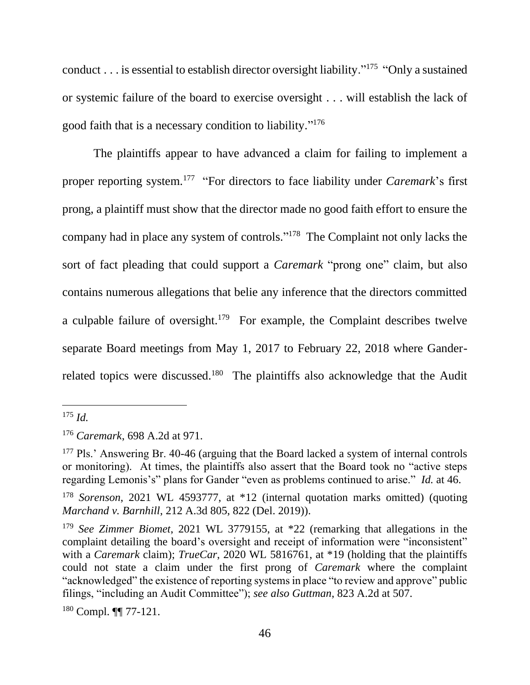conduct . . . is essential to establish director oversight liability."<sup>175</sup> "Only a sustained or systemic failure of the board to exercise oversight . . . will establish the lack of good faith that is a necessary condition to liability." 176

The plaintiffs appear to have advanced a claim for failing to implement a proper reporting system.<sup>177</sup> "For directors to face liability under *Caremark*'s first prong, a plaintiff must show that the director made no good faith effort to ensure the company had in place any system of controls." 178 The Complaint not only lacks the sort of fact pleading that could support a *Caremark* "prong one" claim, but also contains numerous allegations that belie any inference that the directors committed a culpable failure of oversight.<sup>179</sup> For example, the Complaint describes twelve separate Board meetings from May 1, 2017 to February 22, 2018 where Ganderrelated topics were discussed.<sup>180</sup> The plaintiffs also acknowledge that the Audit

<sup>180</sup> Compl. ¶¶ 77-121.

<sup>175</sup> *Id.*

<sup>176</sup> *Caremark*, 698 A.2d at 971.

<sup>&</sup>lt;sup>177</sup> Pls.' Answering Br. 40-46 (arguing that the Board lacked a system of internal controls or monitoring). At times, the plaintiffs also assert that the Board took no "active steps regarding Lemonis's" plans for Gander "even as problems continued to arise." *Id.* at 46.

<sup>178</sup> *Sorenson*, 2021 WL 4593777, at \*12 (internal quotation marks omitted) (quoting *Marchand v. Barnhill*, 212 A.3d 805, 822 (Del. 2019)).

<sup>179</sup> *See Zimmer Biomet*, 2021 WL 3779155, at \*22 (remarking that allegations in the complaint detailing the board's oversight and receipt of information were "inconsistent" with a *Caremark* claim); *TrueCar*, 2020 WL 5816761, at \*19 (holding that the plaintiffs could not state a claim under the first prong of *Caremark* where the complaint "acknowledged" the existence of reporting systems in place "to review and approve" public filings, "including an Audit Committee"); *see also Guttman*, 823 A.2d at 507.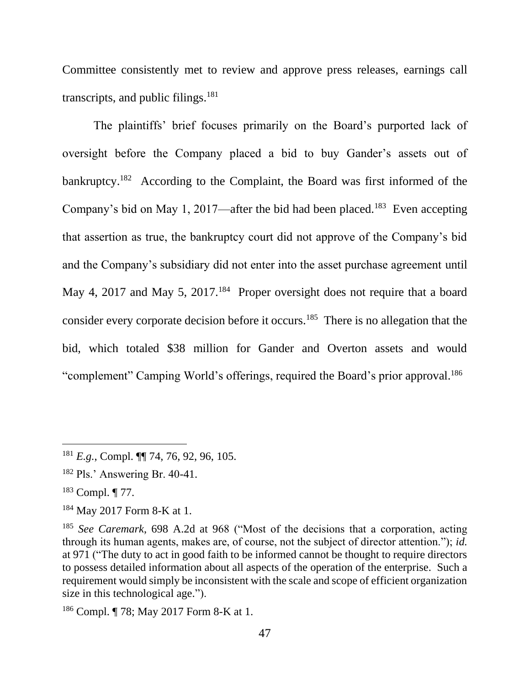Committee consistently met to review and approve press releases, earnings call transcripts, and public filings. $181$ 

The plaintiffs' brief focuses primarily on the Board's purported lack of oversight before the Company placed a bid to buy Gander's assets out of bankruptcy.<sup>182</sup> According to the Complaint, the Board was first informed of the Company's bid on May 1, 2017—after the bid had been placed.<sup>183</sup> Even accepting that assertion as true, the bankruptcy court did not approve of the Company's bid and the Company's subsidiary did not enter into the asset purchase agreement until May 4, 2017 and May 5, 2017.<sup>184</sup> Proper oversight does not require that a board consider every corporate decision before it occurs.<sup>185</sup> There is no allegation that the bid, which totaled \$38 million for Gander and Overton assets and would "complement" Camping World's offerings, required the Board's prior approval.<sup>186</sup>

<sup>181</sup> *E.g.*, Compl. ¶¶ 74, 76, 92, 96, 105.

<sup>182</sup> Pls.' Answering Br. 40-41.

<sup>183</sup> Compl. ¶ 77.

<sup>184</sup> May 2017 Form 8-K at 1.

<sup>185</sup> *See Caremark*, 698 A.2d at 968 ("Most of the decisions that a corporation, acting through its human agents, makes are, of course, not the subject of director attention."); *id.* at 971 ("The duty to act in good faith to be informed cannot be thought to require directors to possess detailed information about all aspects of the operation of the enterprise. Such a requirement would simply be inconsistent with the scale and scope of efficient organization size in this technological age.").

<sup>186</sup> Compl. ¶ 78; May 2017 Form 8-K at 1.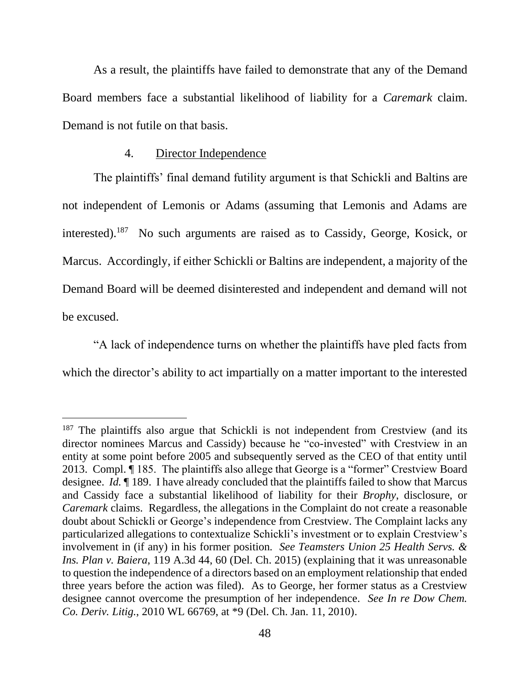As a result, the plaintiffs have failed to demonstrate that any of the Demand Board members face a substantial likelihood of liability for a *Caremark* claim. Demand is not futile on that basis.

## 4. Director Independence

The plaintiffs' final demand futility argument is that Schickli and Baltins are not independent of Lemonis or Adams (assuming that Lemonis and Adams are interested). 187 No such arguments are raised as to Cassidy, George, Kosick, or Marcus. Accordingly, if either Schickli or Baltins are independent, a majority of the Demand Board will be deemed disinterested and independent and demand will not be excused.

"A lack of independence turns on whether the plaintiffs have pled facts from which the director's ability to act impartially on a matter important to the interested

 $187$  The plaintiffs also argue that Schickli is not independent from Crestview (and its director nominees Marcus and Cassidy) because he "co-invested" with Crestview in an entity at some point before 2005 and subsequently served as the CEO of that entity until 2013. Compl. ¶ 185. The plaintiffs also allege that George is a "former" Crestview Board designee. *Id.* ¶ 189. I have already concluded that the plaintiffs failed to show that Marcus and Cassidy face a substantial likelihood of liability for their *Brophy*, disclosure, or *Caremark* claims. Regardless, the allegations in the Complaint do not create a reasonable doubt about Schickli or George's independence from Crestview. The Complaint lacks any particularized allegations to contextualize Schickli's investment or to explain Crestview's involvement in (if any) in his former position*. See Teamsters Union 25 Health Servs. & Ins. Plan v. Baiera*, 119 A.3d 44, 60 (Del. Ch. 2015) (explaining that it was unreasonable to question the independence of a directors based on an employment relationship that ended three years before the action was filed). As to George, her former status as a Crestview designee cannot overcome the presumption of her independence. *See In re Dow Chem. Co. Deriv. Litig.*, 2010 WL 66769, at \*9 (Del. Ch. Jan. 11, 2010).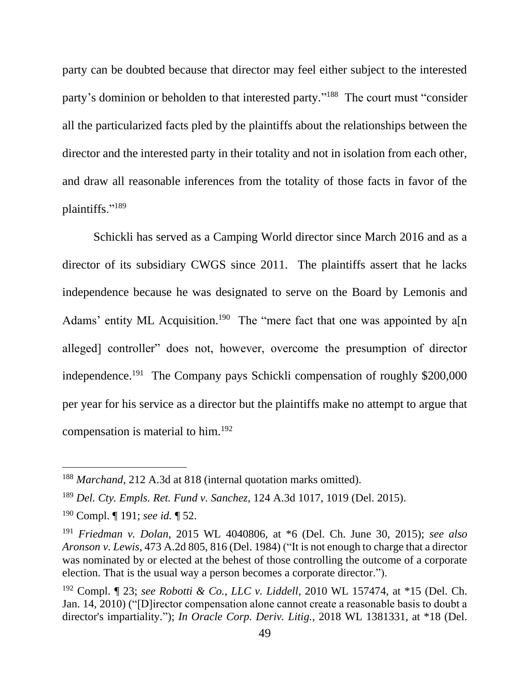party can be doubted because that director may feel either subject to the interested party's dominion or beholden to that interested party."<sup>188</sup> The court must "consider all the particularized facts pled by the plaintiffs about the relationships between the director and the interested party in their totality and not in isolation from each other, and draw all reasonable inferences from the totality of those facts in favor of the plaintiffs."<sup>189</sup>

Schickli has served as a Camping World director since March 2016 and as a director of its subsidiary CWGS since 2011. The plaintiffs assert that he lacks independence because he was designated to serve on the Board by Lemonis and Adams' entity ML Acquisition.<sup>190</sup> The "mere fact that one was appointed by a[n alleged] controller" does not, however, overcome the presumption of director independence.<sup>191</sup> The Company pays Schickli compensation of roughly \$200,000 per year for his service as a director but the plaintiffs make no attempt to argue that compensation is material to him.<sup>192</sup>

<sup>188</sup> *Marchand*, 212 A.3d at 818 (internal quotation marks omitted).

<sup>189</sup> *Del. Cty. Empls. Ret. Fund v. Sanchez*, 124 A.3d 1017, 1019 (Del. 2015).

<sup>190</sup> Compl. ¶ 191; *see id.* ¶ 52.

<sup>191</sup> *Friedman v. Dolan*, 2015 WL 4040806, at \*6 (Del. Ch. June 30, 2015); *see also Aronson v. Lewis*, 473 A.2d 805, 816 (Del. 1984) ("It is not enough to charge that a director was nominated by or elected at the behest of those controlling the outcome of a corporate election. That is the usual way a person becomes a corporate director.").

<sup>192</sup> Compl. ¶ 23; *see Robotti & Co., LLC v. Liddell*, 2010 WL 157474, at \*15 (Del. Ch. Jan. 14, 2010) ("[D]irector compensation alone cannot create a reasonable basis to doubt a director's impartiality."); *In Oracle Corp. Deriv. Litig.*, 2018 WL 1381331, at \*18 (Del.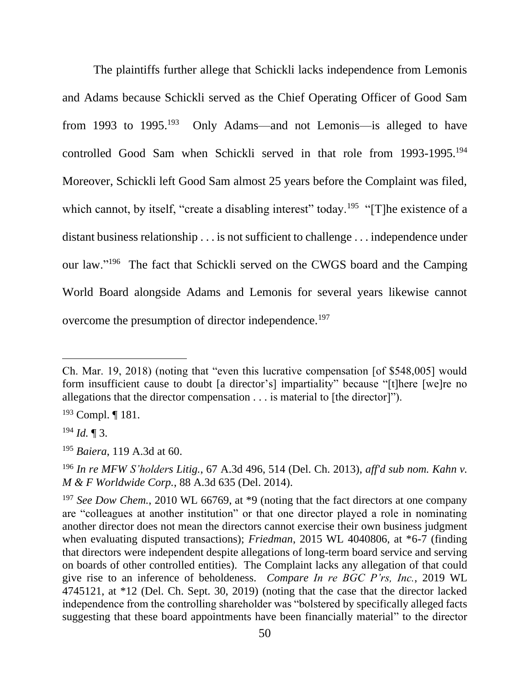The plaintiffs further allege that Schickli lacks independence from Lemonis and Adams because Schickli served as the Chief Operating Officer of Good Sam from 1993 to 1995.<sup>193</sup> Only Adams—and not Lemonis—is alleged to have controlled Good Sam when Schickli served in that role from 1993-1995.<sup>194</sup> Moreover, Schickli left Good Sam almost 25 years before the Complaint was filed, which cannot, by itself, "create a disabling interest" today.<sup>195</sup> "[T]he existence of a distant business relationship . . . is not sufficient to challenge . . . independence under our law."<sup>196</sup> The fact that Schickli served on the CWGS board and the Camping World Board alongside Adams and Lemonis for several years likewise cannot overcome the presumption of director independence.<sup>197</sup>

Ch. Mar. 19, 2018) (noting that "even this lucrative compensation [of \$548,005] would form insufficient cause to doubt [a director's] impartiality" because "[t]here [we]re no allegations that the director compensation . . . is material to [the director]").

<sup>193</sup> Compl. ¶ 181.

<sup>194</sup> *Id.* ¶ 3.

<sup>195</sup> *Baiera*, 119 A.3d at 60.

<sup>196</sup> *In re MFW S'holders Litig.*, 67 A.3d 496, 514 (Del. Ch. 2013), *aff'd sub nom. Kahn v. M & F Worldwide Corp.*, 88 A.3d 635 (Del. 2014).

<sup>&</sup>lt;sup>197</sup> *See Dow Chem.*, 2010 WL 66769, at \*9 (noting that the fact directors at one company are "colleagues at another institution" or that one director played a role in nominating another director does not mean the directors cannot exercise their own business judgment when evaluating disputed transactions); *Friedman*, 2015 WL 4040806, at \*6-7 (finding that directors were independent despite allegations of long-term board service and serving on boards of other controlled entities). The Complaint lacks any allegation of that could give rise to an inference of beholdeness. *Compare In re BGC P'rs, Inc.*, 2019 WL 4745121, at \*12 (Del. Ch. Sept. 30, 2019) (noting that the case that the director lacked independence from the controlling shareholder was "bolstered by specifically alleged facts suggesting that these board appointments have been financially material" to the director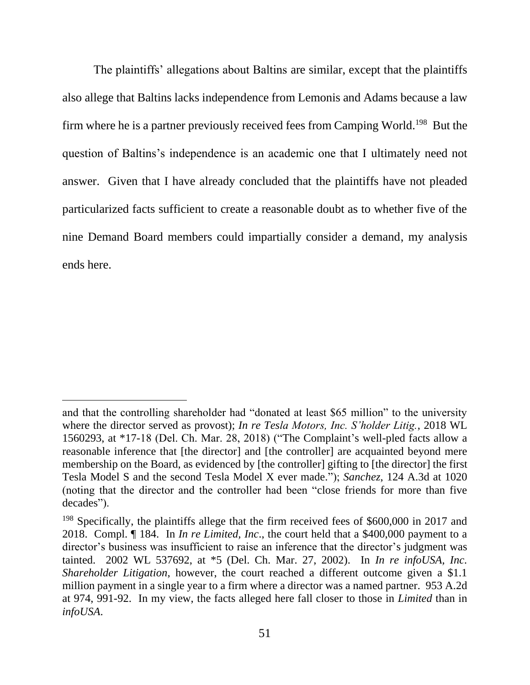The plaintiffs' allegations about Baltins are similar, except that the plaintiffs also allege that Baltins lacks independence from Lemonis and Adams because a law firm where he is a partner previously received fees from Camping World.<sup>198</sup> But the question of Baltins's independence is an academic one that I ultimately need not answer. Given that I have already concluded that the plaintiffs have not pleaded particularized facts sufficient to create a reasonable doubt as to whether five of the nine Demand Board members could impartially consider a demand, my analysis ends here.

and that the controlling shareholder had "donated at least \$65 million" to the university where the director served as provost); *In re Tesla Motors, Inc. S'holder Litig.*, 2018 WL 1560293, at \*17-18 (Del. Ch. Mar. 28, 2018) ("The Complaint's well-pled facts allow a reasonable inference that [the director] and [the controller] are acquainted beyond mere membership on the Board, as evidenced by [the controller] gifting to [the director] the first Tesla Model S and the second Tesla Model X ever made."); *Sanchez*, 124 A.3d at 1020 (noting that the director and the controller had been "close friends for more than five decades").

<sup>&</sup>lt;sup>198</sup> Specifically, the plaintiffs allege that the firm received fees of \$600,000 in 2017 and 2018. Compl. ¶ 184. In *In re Limited, Inc*., the court held that a \$400,000 payment to a director's business was insufficient to raise an inference that the director's judgment was tainted. 2002 WL 537692, at \*5 (Del. Ch. Mar. 27, 2002). In *In re infoUSA, Inc. Shareholder Litigation*, however, the court reached a different outcome given a \$1.1 million payment in a single year to a firm where a director was a named partner. 953 A.2d at 974, 991-92. In my view, the facts alleged here fall closer to those in *Limited* than in *infoUSA*.